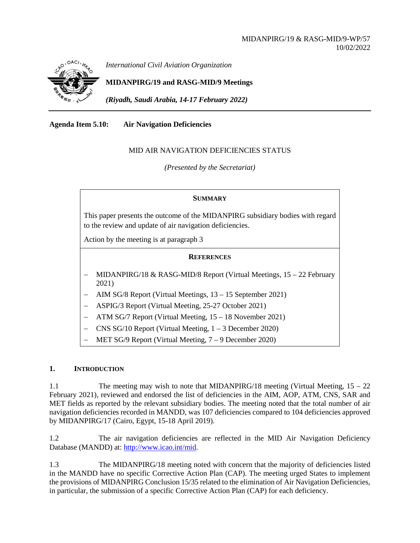

*International Civil Aviation Organization*

**MIDANPIRG/19 and RASG-MID/9 Meetings**

*(Riyadh, Saudi Arabia, 14-17 February 2022)*

**Agenda Item 5.10: Air Navigation Deficiencies**

### MID AIR NAVIGATION DEFICIENCIES STATUS

*(Presented by the Secretariat)*

#### **SUMMARY**

This paper presents the outcome of the MIDANPIRG subsidiary bodies with regard to the review and update of air navigation deficiencies.

Action by the meeting is at paragraph 3

#### **REFERENCES**

- − MIDANPIRG/18 & RASG-MID/8 Report (Virtual Meetings, 15 22 February 2021)
- − AIM SG/8 Report (Virtual Meetings, 13 15 September 2021)
- − ASPIG/3 Report (Virtual Meeting, 25-27 October 2021)
- − ATM SG/7 Report (Virtual Meeting, 15 18 November 2021)
- − CNS SG/10 Report (Virtual Meeting, 1 3 December 2020)
- − MET SG/9 Report (Virtual Meeting, 7 9 December 2020)

#### **1. INTRODUCTION**

1.1 The meeting may wish to note that MIDANPIRG/18 meeting (Virtual Meeting, 15 – 22 February 2021), reviewed and endorsed the list of deficiencies in the AIM, AOP, ATM, CNS, SAR and MET fields as reported by the relevant subsidiary bodies. The meeting noted that the total number of air navigation deficiencies recorded in MANDD, was 107 deficiencies compared to 104 deficiencies approved by MIDANPIRG/17 (Cairo, Egypt, 15-18 April 2019).

1.2 The air navigation deficiencies are reflected in the MID Air Navigation Deficiency Database (MANDD) at: [http://www.icao.int/mid.](http://www.icao.int/mid)

1.3 The MIDANPIRG/18 meeting noted with concern that the majority of deficiencies listed in the MANDD have no specific Corrective Action Plan (CAP). The meeting urged States to implement the provisions of MIDANPIRG Conclusion 15/35 related to the elimination of Air Navigation Deficiencies, in particular, the submission of a specific Corrective Action Plan (CAP) for each deficiency.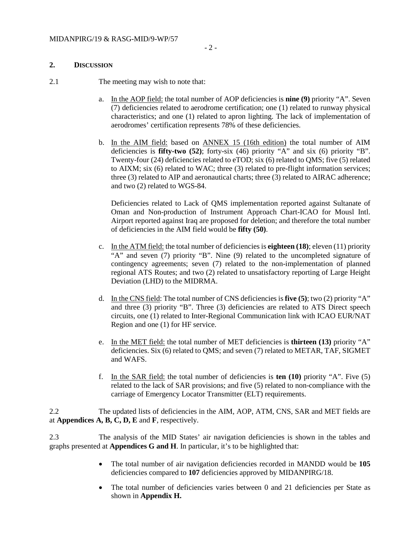#### **2. DISCUSSION**

- 2.1 The meeting may wish to note that:
	- a. In the AOP field: the total number of AOP deficiencies is **nine (9)** priority "A". Seven (7) deficiencies related to aerodrome certification; one (1) related to runway physical characteristics; and one (1) related to apron lighting. The lack of implementation of aerodromes' certification represents 78% of these deficiencies.
	- b. In the AIM field: based on ANNEX 15 (16th edition) the total number of AIM deficiencies is **fifty-two (52)**; forty-six (46) priority "A" and six (6) priority "B". Twenty-four (24) deficiencies related to eTOD; six (6) related to QMS; five (5) related to AIXM; six (6) related to WAC; three (3) related to pre-flight information services; three (3) related to AIP and aeronautical charts; three (3) related to AIRAC adherence; and two (2) related to WGS-84.

Deficiencies related to Lack of QMS implementation reported against Sultanate of Oman and Non-production of Instrument Approach Chart-ICAO for Mousl Intl. Airport reported against Iraq are proposed for deletion; and therefore the total number of deficiencies in the AIM field would be **fifty (50)**.

- c. In the ATM field: the total number of deficiencies is **eighteen (18)**; eleven (11) priority "A" and seven (7) priority "B". Nine (9) related to the uncompleted signature of contingency agreements; seven (7) related to the non-implementation of planned regional ATS Routes; and two (2) related to unsatisfactory reporting of Large Height Deviation (LHD) to the MIDRMA.
- d. In the CNS field: The total number of CNS deficiencies is **five (5)**; two (2) priority "A" and three (3) priority "B". Three (3) deficiencies are related to ATS Direct speech circuits, one (1) related to Inter-Regional Communication link with ICAO EUR/NAT Region and one (1) for HF service.
- e. In the MET field: the total number of MET deficiencies is **thirteen (13)** priority "A" deficiencies. Six (6) related to QMS; and seven (7) related to METAR, TAF, SIGMET and WAFS.
- f. In the SAR field: the total number of deficiencies is **ten (10)** priority "A". Five (5) related to the lack of SAR provisions; and five (5) related to non-compliance with the carriage of Emergency Locator Transmitter (ELT) requirements.

2.2 The updated lists of deficiencies in the AIM, AOP, ATM, CNS, SAR and MET fields are at **Appendices A, B, C, D, E** and **F**, respectively.

2.3 The analysis of the MID States' air navigation deficiencies is shown in the tables and graphs presented at **Appendices G and H**. In particular, it's to be highlighted that:

- The total number of air navigation deficiencies recorded in MANDD would be **105** deficiencies compared to **107** deficiencies approved by MIDANPIRG/18.
- The total number of deficiencies varies between 0 and 21 deficiencies per State as shown in **Appendix H.**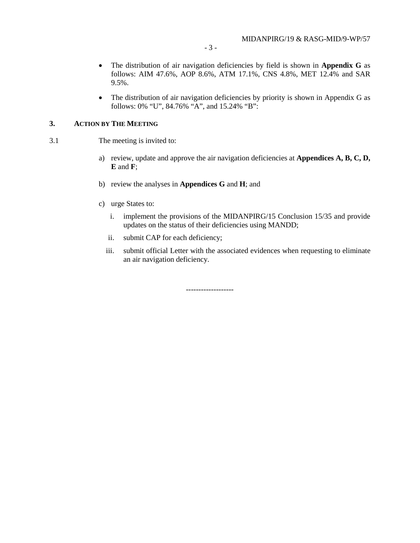- The distribution of air navigation deficiencies by field is shown in **Appendix G** as follows: AIM 47.6%, AOP 8.6%, ATM 17.1%, CNS 4.8%, MET 12.4% and SAR 9.5%.
	- The distribution of air navigation deficiencies by priority is shown in Appendix G as follows: 0% "U", 84.76% "A", and 15.24% "B":

#### **3. ACTION BY THE MEETING**

- 3.1 The meeting is invited to:
	- a) review, update and approve the air navigation deficiencies at **Appendices A, B, C, D,**   $\mathbf{E}$  and  $\mathbf{F}$ ;
	- b) review the analyses in **Appendices G** and **H**; and
	- c) urge States to:
		- i. implement the provisions of the MIDANPIRG/15 Conclusion 15/35 and provide updates on the status of their deficiencies using MANDD;
		- ii. submit CAP for each deficiency;
		- iii. submit official Letter with the associated evidences when requesting to eliminate an air navigation deficiency.

-------------------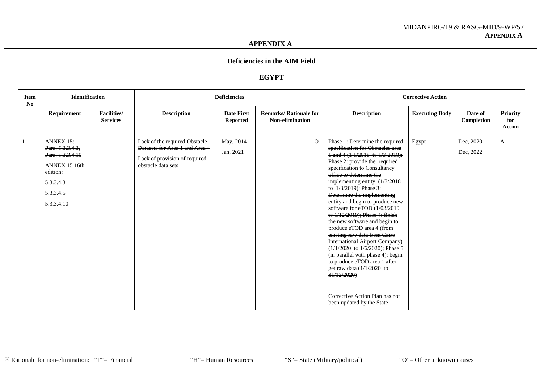### **EGYPT**

| <b>Item</b><br>No | <b>Identification</b>                                                                                                  |                                        |                                                                                                                        | <b>Deficiencies</b>                  |                                                         |                |                                                                                                                                                                                                                                                                                                                                                                                                                                                                                                                                                                                                                                                                                                                                                                                                                                                             | <b>Corrective Action</b> |                        |                                         |
|-------------------|------------------------------------------------------------------------------------------------------------------------|----------------------------------------|------------------------------------------------------------------------------------------------------------------------|--------------------------------------|---------------------------------------------------------|----------------|-------------------------------------------------------------------------------------------------------------------------------------------------------------------------------------------------------------------------------------------------------------------------------------------------------------------------------------------------------------------------------------------------------------------------------------------------------------------------------------------------------------------------------------------------------------------------------------------------------------------------------------------------------------------------------------------------------------------------------------------------------------------------------------------------------------------------------------------------------------|--------------------------|------------------------|-----------------------------------------|
|                   | Requirement                                                                                                            | <b>Facilities</b> /<br><b>Services</b> | <b>Description</b>                                                                                                     | <b>Date First</b><br><b>Reported</b> | <b>Remarks/ Rationale for</b><br><b>Non-elimination</b> |                | <b>Description</b>                                                                                                                                                                                                                                                                                                                                                                                                                                                                                                                                                                                                                                                                                                                                                                                                                                          | <b>Executing Body</b>    | Date of<br>Completion  | <b>Priority</b><br>for<br><b>Action</b> |
|                   | ANNEX 15:<br>Para. 5.3.3.4.3,<br>Para, 5.3.3.4.10<br>ANNEX 15 16th<br>edition:<br>5.3.3.4.3<br>5.3.3.4.5<br>5.3.3.4.10 |                                        | Lack of the required Obstacle<br>Datasets for Area 1 and Area 4<br>Lack of provision of required<br>obstacle data sets | May, 2014<br>Jan, 2021               |                                                         | $\overline{O}$ | Phase 1: Determine the required<br>specification for Obstacles area<br>$\frac{1 \text{ and } 4 \cdot (1/1/2018 \text{ to } 1/3/2018)}{1 \cdot \text{ and } 4 \cdot (1/1/2018 \text{ to } 1/3/2018)}$<br>Phase 2: provide the required<br>specification to Consultancy<br>office to determine the<br>implementing entity (1/3/2018<br>to $1/3/2019$ ; Phase 3:<br>Determine the implementing<br>entity and begin to produce new<br>software for eTOD (1/03/2019<br>to 1/12/2019); Phase 4: finish<br>the new software and begin to<br>produce eTOD area 4 (from<br>existing raw data from Cairo<br><b>International Airport Company)</b><br>(1/1/2020 to 1/6/2020); Phase 5<br>(in parallel with phase 4): begin<br>to produce eTOD area 1 after<br>get raw data $(1/1/2020$ to<br>31/12/2020<br>Corrective Action Plan has not<br>been updated by the State | Egypt                    | Dec, 2020<br>Dec, 2022 | A                                       |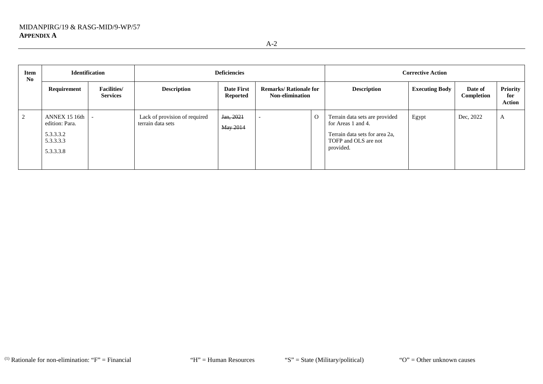| Item<br>N <sub>0</sub> |                                                                        | <b>Identification</b>                  |                                                    | <b>Deficiencies</b>                  |                                                         | <b>Corrective Action</b> |                                                                                                                             |                       |                       |                                         |  |
|------------------------|------------------------------------------------------------------------|----------------------------------------|----------------------------------------------------|--------------------------------------|---------------------------------------------------------|--------------------------|-----------------------------------------------------------------------------------------------------------------------------|-----------------------|-----------------------|-----------------------------------------|--|
|                        | Requirement                                                            | <b>Facilities</b> /<br><b>Services</b> | <b>Description</b>                                 | <b>Date First</b><br><b>Reported</b> | <b>Remarks/ Rationale for</b><br><b>Non-elimination</b> |                          | <b>Description</b>                                                                                                          | <b>Executing Body</b> | Date of<br>Completion | <b>Priority</b><br>for<br><b>Action</b> |  |
| $\bigcap$              | ANNEX 15 16th<br>edition: Para.<br>5.3.3.3.2<br>5.3.3.3.3<br>5.3.3.3.8 |                                        | Lack of provision of required<br>terrain data sets | Jan, 2021<br>May 2014                |                                                         | $\Omega$                 | Terrain data sets are provided<br>for Areas 1 and 4.<br>Terrain data sets for area 2a,<br>TOFP and OLS are not<br>provided. | Egypt                 | Dec, 2022             | A                                       |  |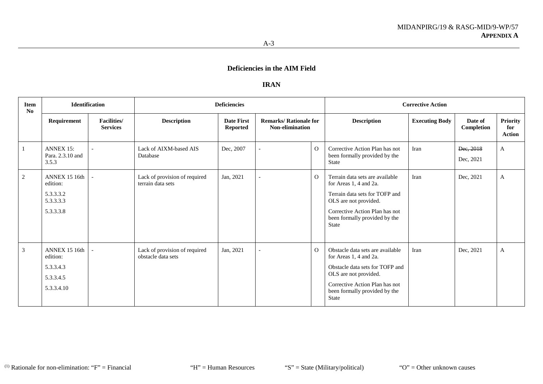#### **IRAN**

| <b>Item</b><br>No | <b>Identification</b>                                             |                                        |                                                     | <b>Deficiencies</b>                  |                                                         |                |                                                                                                                                                                                                           | <b>Corrective Action</b> |                        |                                  |
|-------------------|-------------------------------------------------------------------|----------------------------------------|-----------------------------------------------------|--------------------------------------|---------------------------------------------------------|----------------|-----------------------------------------------------------------------------------------------------------------------------------------------------------------------------------------------------------|--------------------------|------------------------|----------------------------------|
|                   | Requirement                                                       | <b>Facilities</b> /<br><b>Services</b> | <b>Description</b>                                  | <b>Date First</b><br><b>Reported</b> | <b>Remarks/ Rationale for</b><br><b>Non-elimination</b> |                | <b>Description</b>                                                                                                                                                                                        | <b>Executing Body</b>    | Date of<br>Completion  | Priority<br>for<br><b>Action</b> |
|                   | <b>ANNEX 15:</b><br>Para, 2.3.10 and<br>3.5.3                     |                                        | Lack of AIXM-based AIS<br>Database                  | Dec, 2007                            |                                                         | $\Omega$       | Corrective Action Plan has not<br>been formally provided by the<br>State                                                                                                                                  | Iran                     | Dec, 2018<br>Dec, 2021 | A                                |
| 2                 | ANNEX 15 16th<br>edition:<br>5.3.3.3.2<br>5.3.3.3.3<br>5.3.3.3.8  |                                        | Lack of provision of required<br>terrain data sets  | Jan, 2021                            |                                                         | $\Omega$       | Terrain data sets are available<br>for Areas 1, 4 and 2a.<br>Terrain data sets for TOFP and<br>OLS are not provided.<br>Corrective Action Plan has not<br>been formally provided by the<br>State          | Iran                     | Dec, 2021              | $\mathbf{A}$                     |
| 3                 | ANNEX 15 16th<br>edition:<br>5.3.3.4.3<br>5.3.3.4.5<br>5.3.3.4.10 |                                        | Lack of provision of required<br>obstacle data sets | Jan, 2021                            |                                                         | $\overline{O}$ | Obstacle data sets are available<br>for Areas 1, 4 and 2a.<br>Obstacle data sets for TOFP and<br>OLS are not provided.<br>Corrective Action Plan has not<br>been formally provided by the<br><b>State</b> | Iran                     | Dec, 2021              | A                                |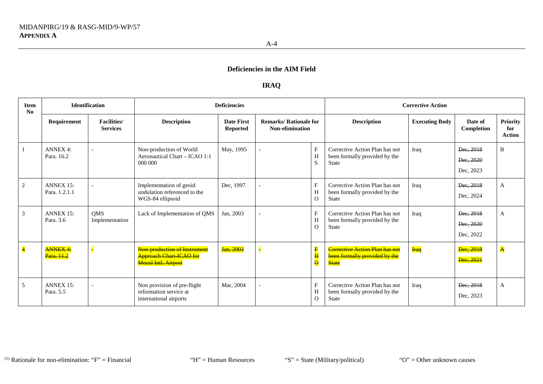### **IRAQ**

| <b>Item</b><br>N <sub>0</sub> | <b>Identification</b>             |                                        |                                                                                              | <b>Deficiencies</b>                  |                                                         |                                                               |                                                                                        | <b>Corrective Action</b> |                                     |                                         |
|-------------------------------|-----------------------------------|----------------------------------------|----------------------------------------------------------------------------------------------|--------------------------------------|---------------------------------------------------------|---------------------------------------------------------------|----------------------------------------------------------------------------------------|--------------------------|-------------------------------------|-----------------------------------------|
|                               | Requirement                       | <b>Facilities</b> /<br><b>Services</b> | <b>Description</b>                                                                           | <b>Date First</b><br><b>Reported</b> | <b>Remarks/ Rationale for</b><br><b>Non-elimination</b> |                                                               | <b>Description</b>                                                                     | <b>Executing Body</b>    | Date of<br>Completion               | <b>Priority</b><br>for<br><b>Action</b> |
|                               | <b>ANNEX 4:</b><br>Para, 16.2     |                                        | Non-production of World<br>Aeronautical Chart – ICAO 1:1<br>000 000                          | May, 1995                            |                                                         | $_{\rm F}$<br>H<br>S                                          | Corrective Action Plan has not<br>been formally provided by the<br><b>State</b>        | Iraq                     | Dec. 2018<br>Dec, 2020<br>Dec, 2023 | B                                       |
| 2                             | <b>ANNEX 15:</b><br>Para, 1.2.1.1 |                                        | Implementation of geoid<br>undulation referenced to the<br>WGS-84 ellipsoid                  | Dec, 1997                            |                                                         | $\mathbf{F}$<br>$\overline{\mathbf{H}}$<br>$\Omega$           | Corrective Action Plan has not<br>been formally provided by the<br>State               | Iraq                     | Dec, 2018<br>Dec, 2024              | A                                       |
| 3                             | <b>ANNEX 15:</b><br>Para, 3.6     | <b>OMS</b><br>Implementation           | Lack of Implementation of QMS                                                                | Jan, 2003                            |                                                         | F<br>H<br>$\Omega$                                            | Corrective Action Plan has not<br>been formally provided by the<br><b>State</b>        | Iraq                     | Dec, 2018<br>Dec, 2020<br>Dec, 2022 | A                                       |
| $\overline{\mathbf{4}}$       | <b>ANNEX 4:</b><br>Para. 11.2     |                                        | Non-production of Instrument<br><b>Approach Chart-ICAO for</b><br><b>Mousl Intl. Airport</b> | Jan, 2003                            |                                                         | $\mathbf F$<br>$\overline{\mathbf{H}}$<br>$\overline{\Theta}$ | <b>Corrective Action Plan has not</b><br>been formally provided by the<br><b>State</b> | <b>Iraq</b>              | Dec, 2018<br>Dec, 2021              | $\mathbf{A}$                            |
| 5                             | <b>ANNEX 15:</b><br>Para, 5.5     |                                        | Non provision of pre-flight<br>information service at<br>international airports              | Mar, 2004                            |                                                         | $_{\rm F}$<br>$\mathbf H$<br>$\Omega$                         | Corrective Action Plan has not<br>been formally provided by the<br><b>State</b>        | Iraq                     | Dec, 2018<br>Dec, 2023              | A                                       |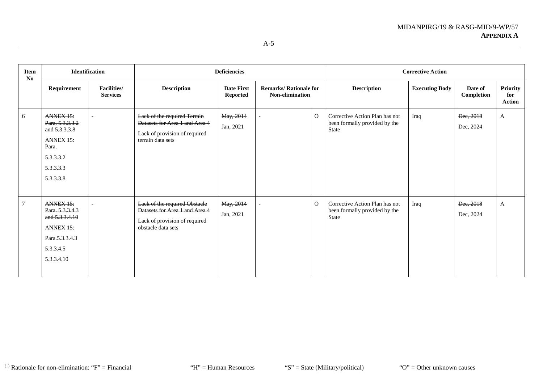| Item<br>No      |                                                                                                                   | Identification                        |                                                                                                                             | <b>Deficiencies</b>                  |                                                  |          |                                                                          | <b>Corrective Action</b> |                        |                                  |
|-----------------|-------------------------------------------------------------------------------------------------------------------|---------------------------------------|-----------------------------------------------------------------------------------------------------------------------------|--------------------------------------|--------------------------------------------------|----------|--------------------------------------------------------------------------|--------------------------|------------------------|----------------------------------|
|                 | Requirement                                                                                                       | <b>Facilities/</b><br><b>Services</b> | <b>Description</b>                                                                                                          | <b>Date First</b><br><b>Reported</b> | <b>Remarks/ Rationale for</b><br>Non-elimination |          | <b>Description</b>                                                       | <b>Executing Body</b>    | Date of<br>Completion  | Priority<br>for<br><b>Action</b> |
| 6               | ANNEX 15:<br>Para. 5.3.3.3.2<br>and 5.3.3.3.8<br><b>ANNEX 15:</b><br>Para.<br>5.3.3.3.2<br>5.3.3.3.3<br>5.3.3.3.8 |                                       | <b>Lack of the required Terrain</b><br>Datasets for Area 1 and Area 4<br>Lack of provision of required<br>terrain data sets | May, 2014<br>Jan, 2021               |                                                  | $\Omega$ | Corrective Action Plan has not<br>been formally provided by the<br>State | Iraq                     | Dec, 2018<br>Dec, 2024 | A                                |
| $7\overline{ }$ | ANNEX 15:<br>Para, 5.3.3.4.3<br>and 5.3.3.4.10<br><b>ANNEX 15:</b><br>Para.5.3.3.4.3<br>5.3.3.4.5<br>5.3.3.4.10   |                                       | Lack of the required Obstacle<br>Datasets for Area 1 and Area 4<br>Lack of provision of required<br>obstacle data sets      | May, 2014<br>Jan, 2021               |                                                  | $\Omega$ | Corrective Action Plan has not<br>been formally provided by the<br>State | Iraq                     | Dec, 2018<br>Dec, 2024 | A                                |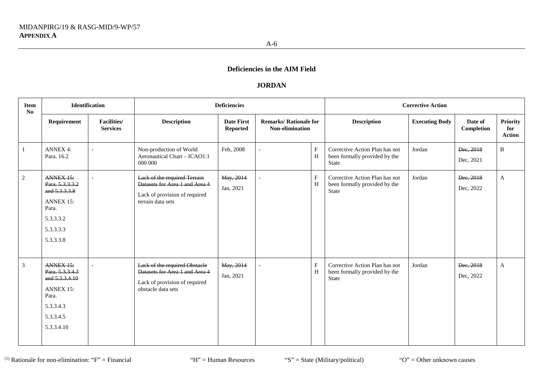#### **JORDAN**

| <b>Item</b><br>N <sub>0</sub> | <b>Identification</b>                                                                                               |                                |                                                                                                                        | <b>Deficiencies</b>                  |                                                  |                                |                                                                                 | <b>Corrective Action</b> |                        |                                  |
|-------------------------------|---------------------------------------------------------------------------------------------------------------------|--------------------------------|------------------------------------------------------------------------------------------------------------------------|--------------------------------------|--------------------------------------------------|--------------------------------|---------------------------------------------------------------------------------|--------------------------|------------------------|----------------------------------|
|                               | Requirement                                                                                                         | Facilities/<br><b>Services</b> | <b>Description</b>                                                                                                     | <b>Date First</b><br><b>Reported</b> | <b>Remarks/ Rationale for</b><br>Non-elimination |                                | <b>Description</b>                                                              | <b>Executing Body</b>    | Date of<br>Completion  | Priority<br>for<br><b>Action</b> |
|                               | <b>ANNEX 4:</b><br>Para. 16.2                                                                                       |                                | Non-production of World<br>Aeronautical Chart - ICAO1:1<br>000 000                                                     | Feb, 2008                            |                                                  | $\mathbf F$<br>H               | Corrective Action Plan has not<br>been formally provided by the<br><b>State</b> | Jordan                   | Dec, 2018<br>Dec, 2021 | B                                |
| $\overline{c}$                | ANNEX 15:<br>Para. 5.3.3.3.2<br>and 5.3.3.3.8<br><b>ANNEX 15:</b><br>Para.<br>5.3.3.3.2<br>5.3.3.3.3<br>5.3.3.3.8   |                                | Lack of the required Terrain<br>Datasets for Area 1 and Area 4<br>Lack of provision of required<br>terrain data sets   | May, 2014<br>Jan, 2021               |                                                  | $\mathbf F$<br>$\, {\rm H}$    | Corrective Action Plan has not<br>been formally provided by the<br><b>State</b> | Jordan                   | Dec, 2018<br>Dec, 2022 | A                                |
| 3                             | ANNEX 15:<br>Para. 5.3.3.4.3<br>and 5.3.3.4.10<br><b>ANNEX 15:</b><br>Para.<br>5.3.3.4.3<br>5.3.3.4.5<br>5.3.3.4.10 |                                | Lack of the required Obstacle<br>Datasets for Area 1 and Area 4<br>Lack of provision of required<br>obstacle data sets | May, 2014<br>Jan, 2021               |                                                  | $\boldsymbol{\mathrm{F}}$<br>H | Corrective Action Plan has not<br>been formally provided by the<br><b>State</b> | Jordan                   | Dec, 2018<br>Dec, 2022 | $\mathbf{A}$                     |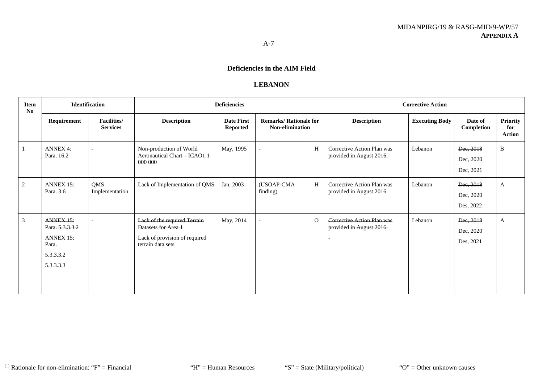#### **LEBANON**

| <b>Item</b><br>N <sub>0</sub> |                                                                                     | <b>Identification</b>                  |                                                                                                           | <b>Deficiencies</b>                  |                                                  |          |                                                        | <b>Corrective Action</b> |                                     |                                  |
|-------------------------------|-------------------------------------------------------------------------------------|----------------------------------------|-----------------------------------------------------------------------------------------------------------|--------------------------------------|--------------------------------------------------|----------|--------------------------------------------------------|--------------------------|-------------------------------------|----------------------------------|
|                               | Requirement                                                                         | <b>Facilities</b> /<br><b>Services</b> | <b>Description</b>                                                                                        | <b>Date First</b><br><b>Reported</b> | <b>Remarks/ Rationale for</b><br>Non-elimination |          | <b>Description</b>                                     | <b>Executing Body</b>    | Date of<br>Completion               | Priority<br>for<br><b>Action</b> |
|                               | <b>ANNEX 4:</b><br>Para. 16.2                                                       | $\overline{\phantom{a}}$               | Non-production of World<br>Aeronautical Chart - ICAO1:1<br>000 000                                        | May, 1995                            |                                                  | H        | Corrective Action Plan was<br>provided in August 2016. | Lebanon                  | Dec, 2018<br>Dec, 2020<br>Dec, 2021 | B                                |
| 2                             | <b>ANNEX 15:</b><br>Para, 3.6                                                       | QMS<br>Implementation                  | Lack of Implementation of QMS                                                                             | Jan, 2003                            | (USOAP-CMA<br>finding)                           | H        | Corrective Action Plan was<br>provided in August 2016. | Lebanon                  | Dec, 2018<br>Dec, 2020<br>Des, 2022 | A                                |
| 3                             | ANNEX 15:<br>Para. 5.3.3.3.2<br><b>ANNEX 15:</b><br>Para.<br>5.3.3.3.2<br>5.3.3.3.3 |                                        | Lack of the required Terrain<br>Datasets for Area 1<br>Lack of provision of required<br>terrain data sets | May, 2014                            |                                                  | $\Omega$ | Corrective Action Plan was<br>provided in August 2016. | Lebanon                  | Dec, 2018<br>Dec, 2020<br>Des, 2021 | A                                |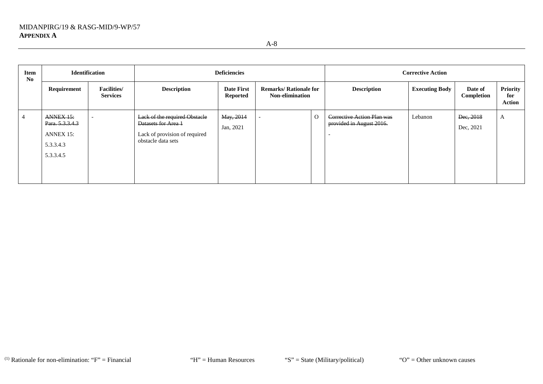| Item<br>N <sub>0</sub> | <b>Identification</b>                                                      |                                       |                                                                                                             | <b>Deficiencies</b>                  |                                                         |          |                                                                                    | <b>Corrective Action</b> |                        |                                         |  |  |
|------------------------|----------------------------------------------------------------------------|---------------------------------------|-------------------------------------------------------------------------------------------------------------|--------------------------------------|---------------------------------------------------------|----------|------------------------------------------------------------------------------------|--------------------------|------------------------|-----------------------------------------|--|--|
|                        | Requirement                                                                | <b>Facilities/</b><br><b>Services</b> | <b>Description</b>                                                                                          | <b>Date First</b><br><b>Reported</b> | <b>Remarks/ Rationale for</b><br><b>Non-elimination</b> |          | <b>Description</b>                                                                 | <b>Executing Body</b>    | Date of<br>Completion  | <b>Priority</b><br>for<br><b>Action</b> |  |  |
|                        | ANNEX 15:<br>Para. 5.3.3.4.3<br><b>ANNEX 15:</b><br>5.3.3.4.3<br>5.3.3.4.5 |                                       | Lack of the required Obstacle<br>Datasets for Area 1<br>Lack of provision of required<br>obstacle data sets | May, 2014<br>Jan, 2021               |                                                         | $\Omega$ | Corrective Action Plan was<br>provided in August 2016.<br>$\overline{\phantom{a}}$ | Lebanon                  | Dec, 2018<br>Dec, 2021 | A                                       |  |  |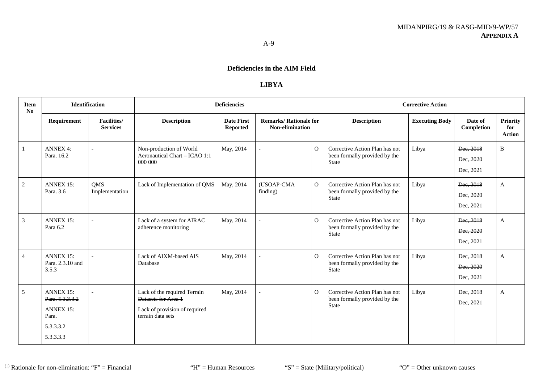### **LIBYA**

| <b>Item</b><br>$\mathbf{N}\mathbf{0}$ |                                                                                     | <b>Identification</b>                  |                                                                                                                  | <b>Deficiencies</b>                  |                                                  |                |                                                                                 | <b>Corrective Action</b> |                                     |                                         |
|---------------------------------------|-------------------------------------------------------------------------------------|----------------------------------------|------------------------------------------------------------------------------------------------------------------|--------------------------------------|--------------------------------------------------|----------------|---------------------------------------------------------------------------------|--------------------------|-------------------------------------|-----------------------------------------|
|                                       | Requirement                                                                         | <b>Facilities</b> /<br><b>Services</b> | <b>Description</b>                                                                                               | <b>Date First</b><br><b>Reported</b> | <b>Remarks/ Rationale for</b><br>Non-elimination |                | <b>Description</b>                                                              | <b>Executing Body</b>    | Date of<br>Completion               | <b>Priority</b><br>for<br><b>Action</b> |
|                                       | <b>ANNEX 4:</b><br>Para, 16.2                                                       |                                        | Non-production of World<br>Aeronautical Chart - ICAO 1:1<br>000000                                               | May, 2014                            |                                                  | $\Omega$       | Corrective Action Plan has not<br>been formally provided by the<br><b>State</b> | Libya                    | Dec, 2018<br>Dec, 2020<br>Dec, 2021 | B                                       |
| $\overline{2}$                        | <b>ANNEX 15:</b><br>Para, 3.6                                                       | QMS<br>Implementation                  | Lack of Implementation of QMS                                                                                    | May, 2014                            | (USOAP-CMA<br>finding)                           | $\overline{O}$ | Corrective Action Plan has not<br>been formally provided by the<br><b>State</b> | Libya                    | Dec, 2018<br>Dec, 2020<br>Dec, 2021 | A                                       |
| 3                                     | <b>ANNEX 15:</b><br>Para 6.2                                                        |                                        | Lack of a system for AIRAC<br>adherence monitoring                                                               | May, 2014                            |                                                  | $\Omega$       | Corrective Action Plan has not<br>been formally provided by the<br><b>State</b> | Libya                    | Dec, 2018<br>Dec, 2020<br>Dec, 2021 | A                                       |
| $\overline{4}$                        | <b>ANNEX 15:</b><br>Para, 2.3.10 and<br>3.5.3                                       |                                        | Lack of AIXM-based AIS<br>Database                                                                               | May, 2014                            |                                                  | $\Omega$       | Corrective Action Plan has not<br>been formally provided by the<br><b>State</b> | Libya                    | Dec, 2018<br>Dec, 2020<br>Dec, 2021 | A                                       |
| 5                                     | ANNEX 15:<br>Para. 5.3.3.3.2<br><b>ANNEX 15:</b><br>Para.<br>5.3.3.3.2<br>5.3.3.3.3 |                                        | <b>Lack of the required Terrain</b><br>Datasets for Area 1<br>Lack of provision of required<br>terrain data sets | May, 2014                            |                                                  | $\Omega$       | Corrective Action Plan has not<br>been formally provided by the<br><b>State</b> | Libya                    | Dec, 2018<br>Dec, 2021              | A                                       |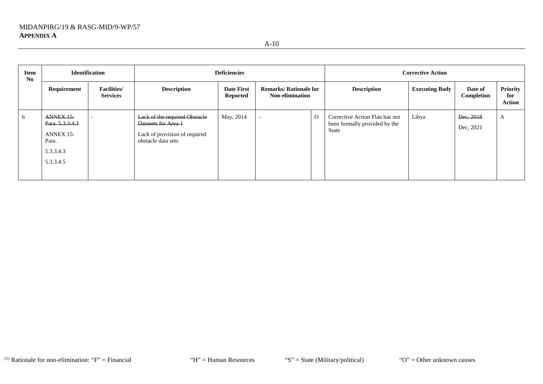A-10

| Item<br>N <sub>0</sub> | <b>Identification</b>                                                        |                                        |                                                                                                             | <b>Deficiencies</b>                  |                                                         | <b>Corrective Action</b> |                                                                                 |                       |                        |                                  |
|------------------------|------------------------------------------------------------------------------|----------------------------------------|-------------------------------------------------------------------------------------------------------------|--------------------------------------|---------------------------------------------------------|--------------------------|---------------------------------------------------------------------------------|-----------------------|------------------------|----------------------------------|
|                        | Requirement                                                                  | <b>Facilities</b> /<br><b>Services</b> | <b>Description</b>                                                                                          | <b>Date First</b><br><b>Reported</b> | <b>Remarks/ Rationale for</b><br><b>Non-elimination</b> |                          | <b>Description</b>                                                              | <b>Executing Body</b> | Date of<br>Completion  | <b>Priority</b><br>for<br>Action |
| - 6                    | ANNEX 15:<br>Para. 5.3.3.4.3<br>ANNEX 15:<br>Para.<br>5.3.3.4.3<br>5.3.3.4.5 |                                        | Lack of the required Obstacle<br>Datasets for Area 1<br>Lack of provision of required<br>obstacle data sets | May, 2014                            | $\overline{\phantom{a}}$                                | $\mathbf{O}$             | Corrective Action Plan has not<br>been formally provided by the<br><b>State</b> | Libya                 | Dec, 2018<br>Dec, 2021 | A                                |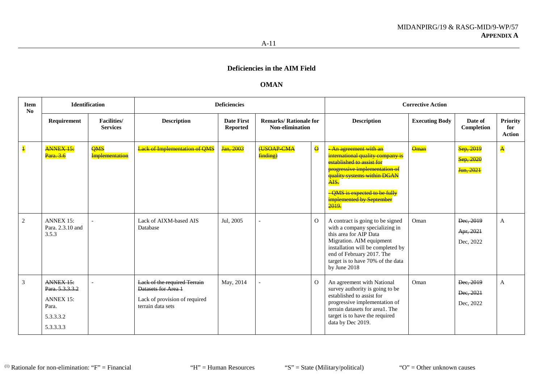### **OMAN**

| <b>Item</b><br>$\mathbf{N}\mathbf{0}$ |                                                                                     | <b>Identification</b>                 |                                                                                                           | <b>Deficiencies</b>                  |                                                  |                     |                                                                                                                                                                                                                                                         | <b>Corrective Action</b> |                                     |                                         |
|---------------------------------------|-------------------------------------------------------------------------------------|---------------------------------------|-----------------------------------------------------------------------------------------------------------|--------------------------------------|--------------------------------------------------|---------------------|---------------------------------------------------------------------------------------------------------------------------------------------------------------------------------------------------------------------------------------------------------|--------------------------|-------------------------------------|-----------------------------------------|
|                                       | Requirement                                                                         | <b>Facilities/</b><br><b>Services</b> | <b>Description</b>                                                                                        | <b>Date First</b><br><b>Reported</b> | <b>Remarks/ Rationale for</b><br>Non-elimination |                     | <b>Description</b>                                                                                                                                                                                                                                      | <b>Executing Body</b>    | Date of<br>Completion               | <b>Priority</b><br>for<br><b>Action</b> |
| $\overline{\mathbf{1}}$               | ANNEX <sub>15</sub> :<br>Para. 3.6                                                  | <b>QMS</b><br><b>Implementation</b>   | <b>Lack of Implementation of QMS</b>                                                                      | Jan, 2003                            | <b>USOAP-CMA</b><br>finding)                     | $\overline{\Theta}$ | -An agreement with an<br>international quality company is<br>established to assist for<br>progressive implementation of<br>quality systems within DGAN<br>$\overline{A}$ IS.<br><b>OMS</b> is expected to be fully<br>implemented by September<br>2019. | <b>Oman</b>              | Sep, 2019<br>Sep, 2020<br>Jun, 2021 | $\overline{\mathbf{A}}$                 |
| $\overline{c}$                        | <b>ANNEX 15:</b><br>Para, 2.3.10 and<br>3.5.3                                       |                                       | Lack of AIXM-based AIS<br>Database                                                                        | Jul, 2005                            | $\overline{\phantom{a}}$                         | $\overline{O}$      | A contract is going to be signed<br>with a company specializing in<br>this area for AIP Data<br>Migration. AIM equipment<br>installation will be completed by<br>end of February 2017. The<br>target is to have 70% of the data<br>by June 2018         | Oman                     | Dec, 2019<br>Apr, 2021<br>Dec, 2022 | A                                       |
| 3                                     | ANNEX 15:<br>Para, 5.3.3.3.2<br><b>ANNEX 15:</b><br>Para.<br>5.3.3.3.2<br>5.3.3.3.3 |                                       | Lack of the required Terrain<br>Datasets for Area 1<br>Lack of provision of required<br>terrain data sets | May, 2014                            |                                                  | $\Omega$            | An agreement with National<br>survey authority is going to be<br>established to assist for<br>progressive implementation of<br>terrain datasets for area1. The<br>target is to have the required<br>data by Dec 2019.                                   | Oman                     | Dec, 2019<br>Dec, 2021<br>Dec, 2022 | A                                       |

(1) Rationale for non-elimination: "F" = Financial "H" = Human Resources "S" = State (Military/political) "O" = Other unknown causes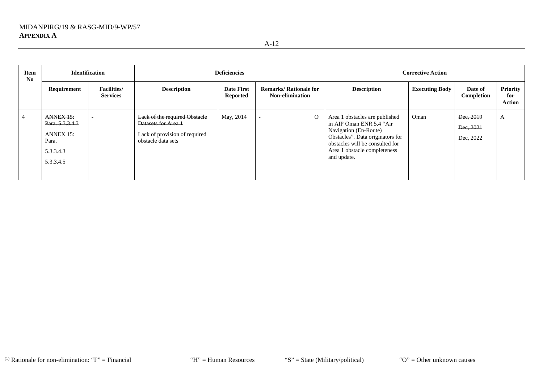| Item<br>No |                                                                              | <b>Identification</b>                  |                                                                                                             | <b>Deficiencies</b>                  |                                                         |          |                                                                                                                                                                                                           | <b>Corrective Action</b> |                                     |                                  |
|------------|------------------------------------------------------------------------------|----------------------------------------|-------------------------------------------------------------------------------------------------------------|--------------------------------------|---------------------------------------------------------|----------|-----------------------------------------------------------------------------------------------------------------------------------------------------------------------------------------------------------|--------------------------|-------------------------------------|----------------------------------|
|            | Requirement                                                                  | <b>Facilities</b> /<br><b>Services</b> | <b>Description</b>                                                                                          | <b>Date First</b><br><b>Reported</b> | <b>Remarks/ Rationale for</b><br><b>Non-elimination</b> |          | <b>Description</b>                                                                                                                                                                                        | <b>Executing Body</b>    | Date of<br>Completion               | Priority<br>for<br><b>Action</b> |
|            | ANNEX 15:<br>Para, 5.3.3.4.3<br>ANNEX 15:<br>Para.<br>5.3.3.4.3<br>5.3.3.4.5 |                                        | Lack of the required Obstacle<br>Datasets for Area 1<br>Lack of provision of required<br>obstacle data sets | May, 2014                            |                                                         | $\Omega$ | Area 1 obstacles are published<br>in AIP Oman ENR 5.4 "Air<br>Navigation (En-Route)<br>Obstacles". Data originators for<br>obstacles will be consulted for<br>Area 1 obstacle completeness<br>and update. | Oman                     | Dec, 2019<br>Dec, 2021<br>Dec, 2022 | A                                |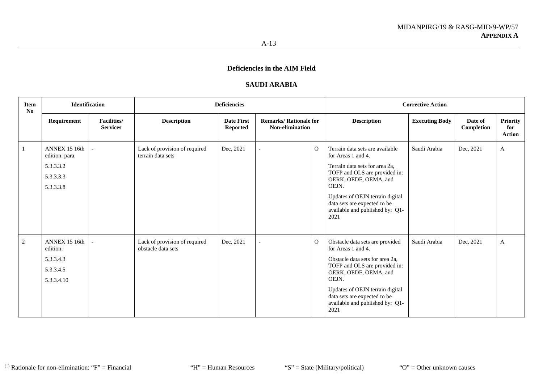#### **SAUDI ARABIA**

| <b>Item</b><br>No |                                                                        | <b>Identification</b>                 |                                                     | <b>Deficiencies</b>           |                                                  |          |                                                                                                                                                                                                                                                                           | <b>Corrective Action</b> |                       |                                         |
|-------------------|------------------------------------------------------------------------|---------------------------------------|-----------------------------------------------------|-------------------------------|--------------------------------------------------|----------|---------------------------------------------------------------------------------------------------------------------------------------------------------------------------------------------------------------------------------------------------------------------------|--------------------------|-----------------------|-----------------------------------------|
|                   | Requirement                                                            | <b>Facilities/</b><br><b>Services</b> | <b>Description</b>                                  | <b>Date First</b><br>Reported | <b>Remarks/ Rationale for</b><br>Non-elimination |          | <b>Description</b>                                                                                                                                                                                                                                                        | <b>Executing Body</b>    | Date of<br>Completion | <b>Priority</b><br>for<br><b>Action</b> |
|                   | ANNEX 15 16th<br>edition: para.<br>5.3.3.3.2<br>5.3.3.3.3<br>5.3.3.3.8 | $\blacksquare$                        | Lack of provision of required<br>terrain data sets  | Dec, 2021                     |                                                  | $\Omega$ | Terrain data sets are available<br>for Areas 1 and 4.<br>Terrain data sets for area 2a,<br>TOFP and OLS are provided in:<br>OERK, OEDF, OEMA, and<br>OEJN.<br>Updates of OEJN terrain digital<br>data sets are expected to be<br>available and published by: Q1-<br>2021  | Saudi Arabia             | Dec, 2021             | A                                       |
| 2                 | ANNEX 15 16th<br>edition:<br>5.3.3.4.3<br>5.3.3.4.5<br>5.3.3.4.10      | $\overline{a}$                        | Lack of provision of required<br>obstacle data sets | Dec, 2021                     |                                                  | $\Omega$ | Obstacle data sets are provided<br>for Areas 1 and 4.<br>Obstacle data sets for area 2a,<br>TOFP and OLS are provided in:<br>OERK, OEDF, OEMA, and<br>OEJN.<br>Updates of OEJN terrain digital<br>data sets are expected to be<br>available and published by: Q1-<br>2021 | Saudi Arabia             | Dec, 2021             | A                                       |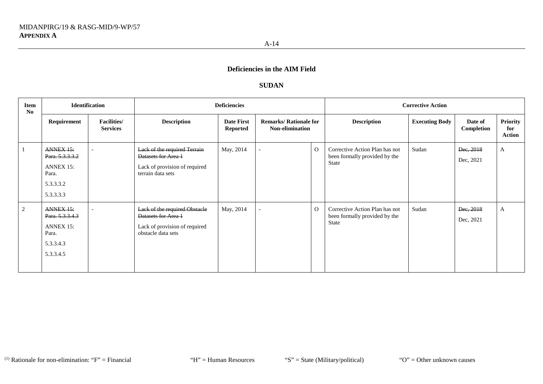#### **SUDAN**

| <b>Item</b><br>No |                                                                              | <b>Identification</b>                 |                                                                                                             | <b>Deficiencies</b>                  |                                                         |          | <b>Corrective Action</b>                                                        |                       |                        |                                  |  |
|-------------------|------------------------------------------------------------------------------|---------------------------------------|-------------------------------------------------------------------------------------------------------------|--------------------------------------|---------------------------------------------------------|----------|---------------------------------------------------------------------------------|-----------------------|------------------------|----------------------------------|--|
|                   | Requirement                                                                  | <b>Facilities/</b><br><b>Services</b> | <b>Description</b>                                                                                          | <b>Date First</b><br><b>Reported</b> | <b>Remarks/ Rationale for</b><br><b>Non-elimination</b> |          | <b>Description</b>                                                              | <b>Executing Body</b> | Date of<br>Completion  | Priority<br>for<br><b>Action</b> |  |
|                   | ANNEX 15:<br>Para. 5.3.3.3.2<br>ANNEX 15:<br>Para.<br>5.3.3.3.2<br>5.3.3.3.3 |                                       | Lack of the required Terrain<br>Datasets for Area 1<br>Lack of provision of required<br>terrain data sets   | May, 2014                            |                                                         | $\Omega$ | Corrective Action Plan has not<br>been formally provided by the<br>State        | Sudan                 | Dec, 2018<br>Dec, 2021 | A                                |  |
| 2                 | ANNEX 15:<br>Para. 5.3.3.4.3<br>ANNEX 15:<br>Para.<br>5.3.3.4.3<br>5.3.3.4.5 |                                       | Lack of the required Obstacle<br>Datasets for Area 1<br>Lack of provision of required<br>obstacle data sets | May, 2014                            |                                                         | $\Omega$ | Corrective Action Plan has not<br>been formally provided by the<br><b>State</b> | Sudan                 | Dec, 2018<br>Dec, 2021 | A                                |  |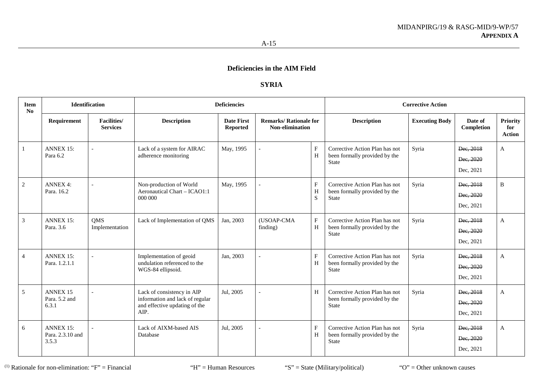### **SYRIA**

| <b>Item</b><br>$\mathbf{N_0}$ |                                               | <b>Identification</b>                 |                                                                                                        | <b>Deficiencies</b>                  |                                                  |                                |                                                                                 | <b>Corrective Action</b> |                                     |                                         |
|-------------------------------|-----------------------------------------------|---------------------------------------|--------------------------------------------------------------------------------------------------------|--------------------------------------|--------------------------------------------------|--------------------------------|---------------------------------------------------------------------------------|--------------------------|-------------------------------------|-----------------------------------------|
|                               | Requirement                                   | <b>Facilities/</b><br><b>Services</b> | <b>Description</b>                                                                                     | <b>Date First</b><br><b>Reported</b> | <b>Remarks/ Rationale for</b><br>Non-elimination |                                | <b>Description</b>                                                              | <b>Executing Body</b>    | Date of<br>Completion               | <b>Priority</b><br>for<br><b>Action</b> |
|                               | <b>ANNEX 15:</b><br>Para 6.2                  |                                       | Lack of a system for AIRAC<br>adherence monitoring                                                     | May, 1995                            |                                                  | $\mathbf F$<br>H               | Corrective Action Plan has not<br>been formally provided by the<br><b>State</b> | Syria                    | Dec, 2018<br>Dec, 2020<br>Dec, 2021 | A                                       |
| 2                             | <b>ANNEX 4:</b><br>Para, 16.2                 |                                       | Non-production of World<br>Aeronautical Chart - ICAO1:1<br>000 000                                     | May, 1995                            |                                                  | $_{\rm F}$<br>H<br>S           | Corrective Action Plan has not<br>been formally provided by the<br><b>State</b> | Syria                    | Dec, 2018<br>Dec, 2020<br>Dec, 2021 | B                                       |
| 3                             | <b>ANNEX 15:</b><br>Para, 3.6                 | <b>QMS</b><br>Implementation          | Lack of Implementation of QMS                                                                          | Jan, 2003                            | (USOAP-CMA<br>finding)                           | $\mathbf F$<br>$\, {\rm H}$    | Corrective Action Plan has not<br>been formally provided by the<br>State        | Syria                    | Dec, 2018<br>Dec, 2020<br>Dec, 2021 | $\mathbf{A}$                            |
| 4                             | <b>ANNEX 15:</b><br>Para, 1.2.1.1             |                                       | Implementation of geoid<br>undulation referenced to the<br>WGS-84 ellipsoid.                           | Jan, 2003                            | $\overline{a}$                                   | $\boldsymbol{\mathrm{F}}$<br>H | Corrective Action Plan has not<br>been formally provided by the<br><b>State</b> | Syria                    | Dec, 2018<br>Dec, 2020<br>Dec, 2021 | A                                       |
| 5                             | <b>ANNEX 15</b><br>Para. 5.2 and<br>6.3.1     |                                       | Lack of consistency in AIP<br>information and lack of regular<br>and effective updating of the<br>AIP. | Jul. 2005                            | $\overline{a}$                                   | H                              | Corrective Action Plan has not<br>been formally provided by the<br><b>State</b> | Syria                    | Dec, 2018<br>Dec, 2020<br>Dec, 2021 | $\mathbf{A}$                            |
| 6                             | <b>ANNEX 15:</b><br>Para. 2.3.10 and<br>3.5.3 |                                       | Lack of AIXM-based AIS<br>Database                                                                     | Jul, 2005                            |                                                  | $\mathbf F$<br>$\, {\rm H}$    | Corrective Action Plan has not<br>been formally provided by the<br><b>State</b> | Syria                    | Dec, 2018<br>Dec, 2020<br>Dec, 2021 | $\mathbf{A}$                            |

(1) Rationale for non-elimination: "F" = Financial "H" = Human Resources "S" = State (Military/political) "O" = Other unknown causes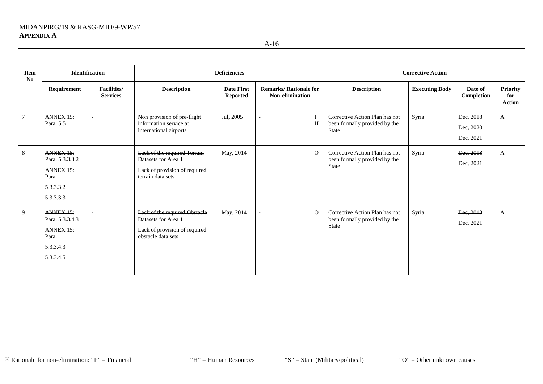A-16

| <b>Item</b><br>No |                                                                                     | <b>Identification</b>                 |                                                                                                             | <b>Deficiencies</b>           |                                                  |                   |                                                                                 | <b>Corrective Action</b> |                                     |                                         |
|-------------------|-------------------------------------------------------------------------------------|---------------------------------------|-------------------------------------------------------------------------------------------------------------|-------------------------------|--------------------------------------------------|-------------------|---------------------------------------------------------------------------------|--------------------------|-------------------------------------|-----------------------------------------|
|                   | Requirement                                                                         | <b>Facilities/</b><br><b>Services</b> | <b>Description</b>                                                                                          | <b>Date First</b><br>Reported | <b>Remarks/ Rationale for</b><br>Non-elimination |                   | <b>Description</b>                                                              | <b>Executing Body</b>    | Date of<br>Completion               | <b>Priority</b><br>for<br><b>Action</b> |
|                   | <b>ANNEX 15:</b><br>Para, 5.5                                                       |                                       | Non provision of pre-flight<br>information service at<br>international airports                             | Jul, 2005                     |                                                  | $\mathbf{F}$<br>H | Corrective Action Plan has not<br>been formally provided by the<br><b>State</b> | Syria                    | Dec, 2018<br>Dec, 2020<br>Dec, 2021 | A                                       |
| 8                 | ANNEX 15:<br>Para. 5.3.3.3.2<br>ANNEX 15:<br>Para.<br>5.3.3.3.2<br>5.3.3.3.3        |                                       | Lack of the required Terrain<br>Datasets for Area 1<br>Lack of provision of required<br>terrain data sets   | May, 2014                     |                                                  | $\Omega$          | Corrective Action Plan has not<br>been formally provided by the<br>State        | Syria                    | Dec, 2018<br>Dec, 2021              | A                                       |
| 9                 | ANNEX 15:<br>Para. 5.3.3.4.3<br><b>ANNEX 15:</b><br>Para.<br>5.3.3.4.3<br>5.3.3.4.5 |                                       | Lack of the required Obstacle<br>Datasets for Area 1<br>Lack of provision of required<br>obstacle data sets | May, 2014                     |                                                  | $\Omega$          | Corrective Action Plan has not<br>been formally provided by the<br>State        | Syria                    | Dec, 2018<br>Dec, 2021              | A                                       |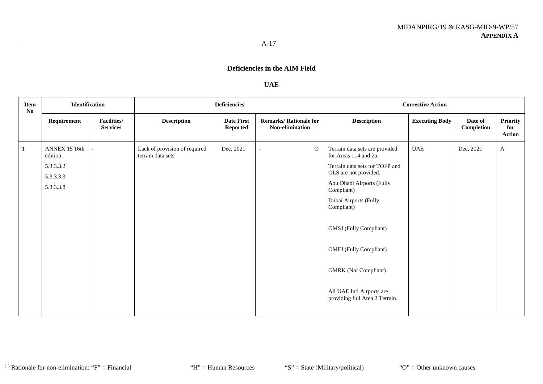### **UAE**

| Item<br>$\mathbf{N}\mathbf{o}$ | Identification                                      |                                       |                                                    | <b>Deficiencies</b>           |                                                  |              |                                                                                                                                                  | <b>Corrective Action</b> |                       |                                  |
|--------------------------------|-----------------------------------------------------|---------------------------------------|----------------------------------------------------|-------------------------------|--------------------------------------------------|--------------|--------------------------------------------------------------------------------------------------------------------------------------------------|--------------------------|-----------------------|----------------------------------|
|                                | Requirement                                         | <b>Facilities/</b><br><b>Services</b> | <b>Description</b>                                 | <b>Date First</b><br>Reported | <b>Remarks/ Rationale for</b><br>Non-elimination |              | <b>Description</b>                                                                                                                               | <b>Executing Body</b>    | Date of<br>Completion | Priority<br>for<br><b>Action</b> |
|                                | ANNEX 15 16th<br>edition:<br>5.3.3.3.2<br>5.3.3.3.3 |                                       | Lack of provision of required<br>terrain data sets | Dec, 2021                     |                                                  | $\mathbf{O}$ | Terrain data sets are provided<br>for Areas 1, 4 and 2a.<br>Terrain data sets for TOFP and<br>OLS are not provided.<br>Abu Dhabi Airports (Fully | <b>UAE</b>               | Dec, 2021             | $\mathbf{A}$                     |
|                                | 5.3.3.3.8                                           |                                       |                                                    |                               |                                                  |              | Compliant)<br>Dubai Airports (Fully<br>Compliant)                                                                                                |                          |                       |                                  |
|                                |                                                     |                                       |                                                    |                               |                                                  |              | <b>OMSJ</b> (Fully Compliant)<br><b>OMFJ</b> (Fully Compliant)                                                                                   |                          |                       |                                  |
|                                |                                                     |                                       |                                                    |                               |                                                  |              | <b>OMRK</b> (Not Compliant)                                                                                                                      |                          |                       |                                  |
|                                |                                                     |                                       |                                                    |                               |                                                  |              | All UAE Intl Airports are<br>providing full Area 2 Terrain.                                                                                      |                          |                       |                                  |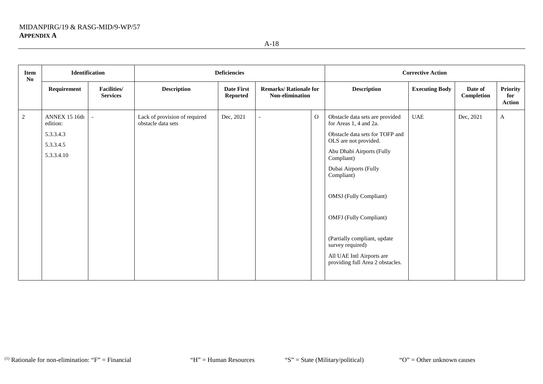A-18

| Item<br>$\mathbf{N}\mathbf{o}$ |                           | Identification                        |                                                     | <b>Deficiencies</b>                  |                                                  |              |                                                               | <b>Corrective Action</b> |                       |                                         |
|--------------------------------|---------------------------|---------------------------------------|-----------------------------------------------------|--------------------------------------|--------------------------------------------------|--------------|---------------------------------------------------------------|--------------------------|-----------------------|-----------------------------------------|
|                                | Requirement               | <b>Facilities/</b><br><b>Services</b> | <b>Description</b>                                  | <b>Date First</b><br><b>Reported</b> | <b>Remarks/ Rationale for</b><br>Non-elimination |              | <b>Description</b>                                            | <b>Executing Body</b>    | Date of<br>Completion | <b>Priority</b><br>for<br><b>Action</b> |
| $\overline{c}$                 | ANNEX 15 16th<br>edition: | $\overline{\phantom{a}}$              | Lack of provision of required<br>obstacle data sets | Dec, 2021                            |                                                  | $\mathbf{O}$ | Obstacle data sets are provided<br>for Areas 1, 4 and 2a.     | <b>UAE</b>               | Dec, 2021             | A                                       |
|                                | 5.3.3.4.3<br>5.3.3.4.5    |                                       |                                                     |                                      |                                                  |              | Obstacle data sets for TOFP and<br>OLS are not provided.      |                          |                       |                                         |
|                                | 5.3.3.4.10                |                                       |                                                     |                                      |                                                  |              | Abu Dhabi Airports (Fully<br>Compliant)                       |                          |                       |                                         |
|                                |                           |                                       |                                                     |                                      |                                                  |              | Dubai Airports (Fully<br>Compliant)                           |                          |                       |                                         |
|                                |                           |                                       |                                                     |                                      |                                                  |              | <b>OMSJ</b> (Fully Compliant)                                 |                          |                       |                                         |
|                                |                           |                                       |                                                     |                                      |                                                  |              | <b>OMFJ</b> (Fully Compliant)                                 |                          |                       |                                         |
|                                |                           |                                       |                                                     |                                      |                                                  |              | (Partially compliant, update<br>survey required)              |                          |                       |                                         |
|                                |                           |                                       |                                                     |                                      |                                                  |              | All UAE Intl Airports are<br>providing full Area 2 obstacles. |                          |                       |                                         |
|                                |                           |                                       |                                                     |                                      |                                                  |              |                                                               |                          |                       |                                         |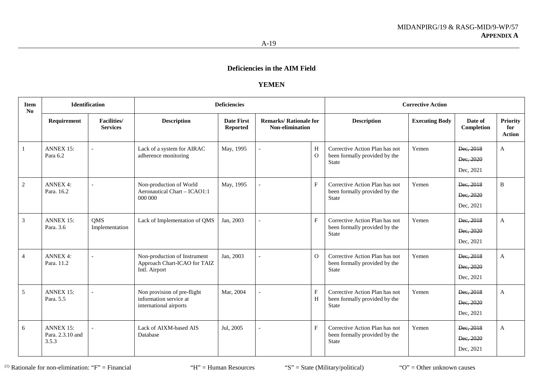### **YEMEN**

| <b>Item</b><br>No |                                               | <b>Identification</b>                  |                                                                                 | <b>Deficiencies</b>                  |                                                  |                   |                                                                                 | <b>Corrective Action</b> |                                     |                                  |
|-------------------|-----------------------------------------------|----------------------------------------|---------------------------------------------------------------------------------|--------------------------------------|--------------------------------------------------|-------------------|---------------------------------------------------------------------------------|--------------------------|-------------------------------------|----------------------------------|
|                   | Requirement                                   | <b>Facilities</b> /<br><b>Services</b> | <b>Description</b>                                                              | <b>Date First</b><br><b>Reported</b> | <b>Remarks/ Rationale for</b><br>Non-elimination |                   | <b>Description</b>                                                              | <b>Executing Body</b>    | Date of<br>Completion               | Priority<br>for<br><b>Action</b> |
|                   | <b>ANNEX 15:</b><br>Para 6.2                  |                                        | Lack of a system for AIRAC<br>adherence monitoring                              | May, 1995                            |                                                  | H<br>$\Omega$     | Corrective Action Plan has not<br>been formally provided by the<br><b>State</b> | Yemen                    | Dec, 2018<br>Dec, 2020<br>Dec, 2021 | A                                |
| 2                 | <b>ANNEX 4:</b><br>Para, 16.2                 |                                        | Non-production of World<br>Aeronautical Chart - ICAO1:1<br>000 000              | May, 1995                            |                                                  | $\mathbf{F}$      | Corrective Action Plan has not<br>been formally provided by the<br><b>State</b> | Yemen                    | Dec, 2018<br>Dec, 2020<br>Dec, 2021 | B                                |
| 3                 | <b>ANNEX 15:</b><br>Para, 3.6                 | <b>QMS</b><br>Implementation           | Lack of Implementation of QMS                                                   | Jan, 2003                            |                                                  | F                 | Corrective Action Plan has not<br>been formally provided by the<br>State        | Yemen                    | Dec, 2018<br>Dec, 2020<br>Dec, 2021 | $\mathbf{A}$                     |
| $\overline{4}$    | <b>ANNEX 4:</b><br>Para, 11.2                 |                                        | Non-production of Instrument<br>Approach Chart-ICAO for TAIZ<br>Intl. Airport   | Jan, 2003                            |                                                  | $\Omega$          | Corrective Action Plan has not<br>been formally provided by the<br>State        | Yemen                    | Dec, 2018<br>Dec, 2020<br>Dec, 2021 | A                                |
| 5                 | <b>ANNEX 15:</b><br>Para, 5.5                 | $\overline{a}$                         | Non provision of pre-flight<br>information service at<br>international airports | Mar. 2004                            |                                                  | $\mathbf{F}$<br>H | Corrective Action Plan has not<br>been formally provided by the<br>State        | Yemen                    | Dec, 2018<br>Dec, 2020<br>Dec, 2021 | $\mathsf{A}$                     |
| 6                 | <b>ANNEX 15:</b><br>Para. 2.3.10 and<br>3.5.3 |                                        | Lack of AIXM-based AIS<br>Database                                              | Jul, 2005                            |                                                  | F                 | Corrective Action Plan has not<br>been formally provided by the<br><b>State</b> | Yemen                    | Dec, 2018<br>Dec, 2020<br>Dec, 2021 | $\mathbf{A}$                     |

(1) Rationale for non-elimination: "F" = Financial "H" = Human Resources "S" = State (Military/political) "O" = Other unknown causes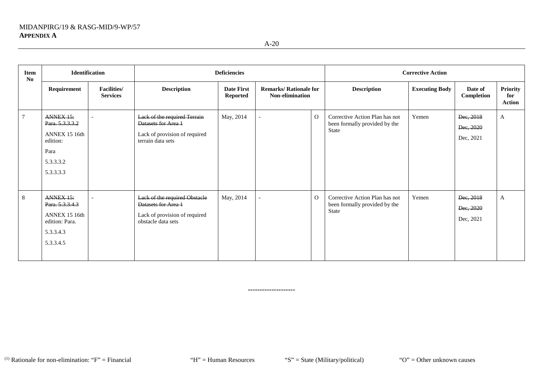| <b>Item</b><br>No | Identification                                                                                     |                                       |                                                                                                             | <b>Deficiencies</b>           |                                                  |          |                                                                                 | <b>Corrective Action</b> |                                     |                                  |
|-------------------|----------------------------------------------------------------------------------------------------|---------------------------------------|-------------------------------------------------------------------------------------------------------------|-------------------------------|--------------------------------------------------|----------|---------------------------------------------------------------------------------|--------------------------|-------------------------------------|----------------------------------|
|                   | Requirement                                                                                        | <b>Facilities/</b><br><b>Services</b> | <b>Description</b>                                                                                          | <b>Date First</b><br>Reported | <b>Remarks/ Rationale for</b><br>Non-elimination |          | <b>Description</b>                                                              | <b>Executing Body</b>    | Date of<br>Completion               | Priority<br>for<br><b>Action</b> |
|                   | <b>ANNEX 15:</b><br>Para. 5.3.3.3.2<br>ANNEX 15 16th<br>edition:<br>Para<br>5.3.3.3.2<br>5.3.3.3.3 | $\overline{a}$                        | Lack of the required Terrain<br>Datasets for Area 1<br>Lack of provision of required<br>terrain data sets   | May, 2014                     |                                                  | $\Omega$ | Corrective Action Plan has not<br>been formally provided by the<br>State        | Yemen                    | Dec, 2018<br>Dec, 2020<br>Dec, 2021 | $\mathbf{A}$                     |
|                   | ANNEX 15:<br>Para. 5.3.3.4.3<br>ANNEX 15 16th<br>edition: Para.<br>5.3.3.4.3<br>5.3.3.4.5          | $\overline{\phantom{a}}$              | Lack of the required Obstacle<br>Datasets for Area 1<br>Lack of provision of required<br>obstacle data sets | May, 2014                     |                                                  | $\Omega$ | Corrective Action Plan has not<br>been formally provided by the<br><b>State</b> | Yemen                    | Dec, 2018<br>Dec, 2020<br>Dec, 2021 | $\mathbf{A}$                     |

**--------------------**

A-20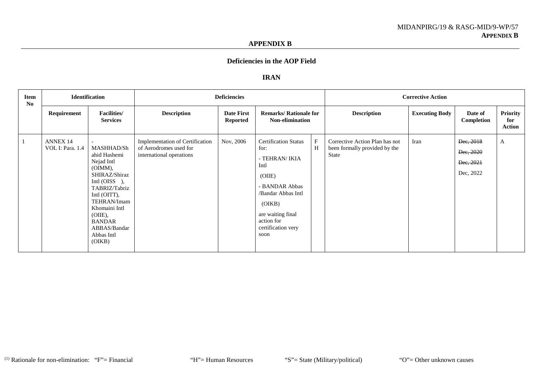#### **IRAN**

| Item<br>N <sub>0</sub> |                                     | <b>Identification</b>                                                                                                                                                                                                           |                                                                                       | <b>Deficiencies</b>                  |                                                                                                                                                                                            |                   |                                                                          | <b>Corrective Action</b> |                                                  |                           |
|------------------------|-------------------------------------|---------------------------------------------------------------------------------------------------------------------------------------------------------------------------------------------------------------------------------|---------------------------------------------------------------------------------------|--------------------------------------|--------------------------------------------------------------------------------------------------------------------------------------------------------------------------------------------|-------------------|--------------------------------------------------------------------------|--------------------------|--------------------------------------------------|---------------------------|
|                        | Requirement                         | <b>Facilities</b> /<br><b>Services</b>                                                                                                                                                                                          | <b>Description</b>                                                                    | <b>Date First</b><br><b>Reported</b> | <b>Remarks/ Rationale for</b><br><b>Non-elimination</b>                                                                                                                                    |                   | <b>Description</b>                                                       | <b>Executing Body</b>    | Date of<br>Completion                            | Priority<br>for<br>Action |
|                        | <b>ANNEX 14</b><br>VOL I: Para. 1.4 | MASHHAD/Sh<br>ahid Hashemi<br>Nejad Intl<br>$(OIMM)$ ,<br>SHIRAZ/Shiraz<br>Intl $(OISS)$ ,<br>TABRIZ/Tabriz<br>Intl (OITT),<br>TEHRAN/Imam<br>Khomaini Intl<br>(OIIE),<br><b>BANDAR</b><br>ABBAS/Bandar<br>Abbas Intl<br>(OIKB) | Implementation of Certification<br>of Aerodromes used for<br>international operations | Nov, 2006                            | <b>Certification Status</b><br>for:<br>- TEHRAN/ IKIA<br>Intl<br>(OIIE)<br>- BANDAR Abbas<br>/Bandar Abbas Intl<br>(OIKB)<br>are waiting final<br>action for<br>certification very<br>soon | $\mathbf{F}$<br>H | Corrective Action Plan has not<br>been formally provided by the<br>State | Iran                     | Dec, 2018<br>Dec, 2020<br>Dec, 2021<br>Dec, 2022 | A                         |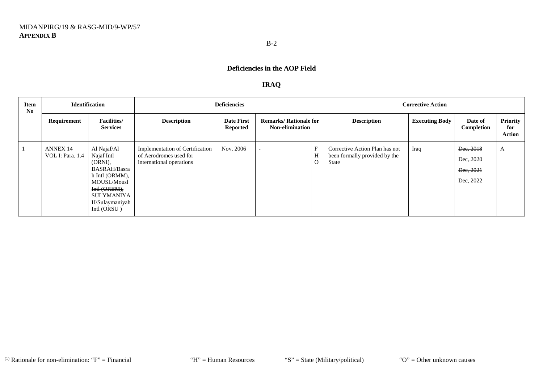### **IRAQ**

| Item<br>N <sub>0</sub> | <b>Identification</b>               |                                                                                                                                                                                |                                                                                              | <b>Deficiencies</b>                  |                                                         |                                                |                                                                          | <b>Corrective Action</b> |                                                  |                                         |
|------------------------|-------------------------------------|--------------------------------------------------------------------------------------------------------------------------------------------------------------------------------|----------------------------------------------------------------------------------------------|--------------------------------------|---------------------------------------------------------|------------------------------------------------|--------------------------------------------------------------------------|--------------------------|--------------------------------------------------|-----------------------------------------|
|                        | Requirement                         | <b>Facilities</b> /<br><b>Services</b>                                                                                                                                         | <b>Description</b>                                                                           | <b>Date First</b><br><b>Reported</b> | <b>Remarks/ Rationale for</b><br><b>Non-elimination</b> |                                                | <b>Description</b>                                                       | <b>Executing Body</b>    | Date of<br>Completion                            | <b>Priority</b><br>for<br><b>Action</b> |
|                        | <b>ANNEX 14</b><br>VOL I: Para. 1.4 | Al Najaf/Al<br>Najaf Intl<br>(ORNI).<br><b>BASRAH/Basra</b><br>h Intl (ORMM),<br><b>MOUSL/Mousl</b><br>Int <sub>1</sub> (ORBM),<br>SULYMANIYA<br>H/Sulaymaniyah<br>Intl (ORSU) | <b>Implementation of Certification</b><br>of Aerodromes used for<br>international operations | Nov, 2006                            | $\overline{\phantom{0}}$                                | $\boldsymbol{\mathrm{F}}$<br>H<br>$\mathbf{O}$ | Corrective Action Plan has not<br>been formally provided by the<br>State | Iraq                     | Dec, 2018<br>Dec, 2020<br>Dec, 2021<br>Dec, 2022 | $\mathbf{A}$                            |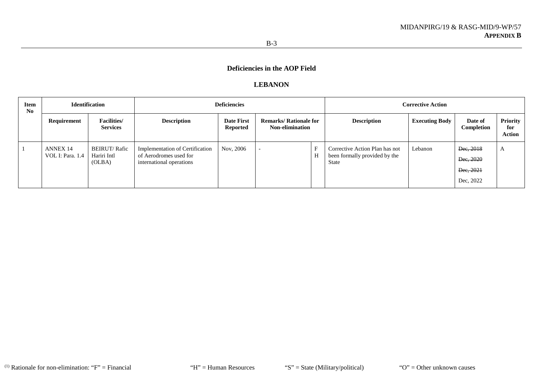### **LEBANON**

| Item<br>N <sub>0</sub> |                              | <b>Identification</b>                        |                                                                                              | <b>Deficiencies</b>    |                                                         |                  |                                                                                 | <b>Corrective Action</b> |                                                  |                                         |
|------------------------|------------------------------|----------------------------------------------|----------------------------------------------------------------------------------------------|------------------------|---------------------------------------------------------|------------------|---------------------------------------------------------------------------------|--------------------------|--------------------------------------------------|-----------------------------------------|
|                        | Requirement                  | <b>Facilities</b> /<br><b>Services</b>       | <b>Description</b>                                                                           | Date First<br>Reported | <b>Remarks/ Rationale for</b><br><b>Non-elimination</b> |                  | <b>Description</b>                                                              | <b>Executing Body</b>    | Date of<br>Completion                            | <b>Priority</b><br>for<br><b>Action</b> |
|                        | ANNEX 14<br>VOL I: Para. 1.4 | <b>BEIRUT/Rafic</b><br>Hariri Intl<br>(OLBA) | <b>Implementation of Certification</b><br>of Aerodromes used for<br>international operations | Nov. 2006              |                                                         | $\mathbf F$<br>H | Corrective Action Plan has not<br>been formally provided by the<br><b>State</b> | Lebanon                  | Dec, 2018<br>Dec, 2020<br>Dec, 2021<br>Dec, 2022 | A                                       |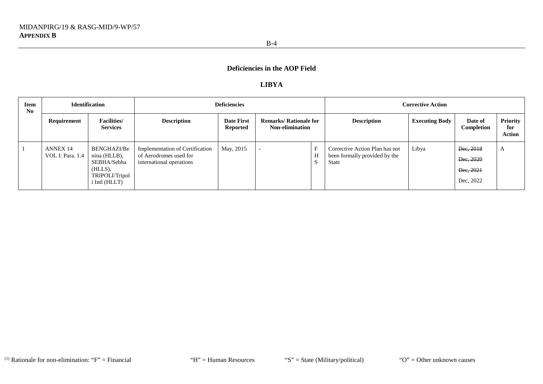### **LIBYA**

| <b>Item</b><br>No | <b>Identification</b>        |                                                                                             | <b>Deficiencies</b>                                                                          |                                                                                                 |  |                                  | <b>Corrective Action</b>                                                 |                       |                                                  |                                         |  |  |
|-------------------|------------------------------|---------------------------------------------------------------------------------------------|----------------------------------------------------------------------------------------------|-------------------------------------------------------------------------------------------------|--|----------------------------------|--------------------------------------------------------------------------|-----------------------|--------------------------------------------------|-----------------------------------------|--|--|
|                   | Requirement                  | <b>Facilities</b> /<br><b>Description</b><br><b>Services</b>                                |                                                                                              | <b>Date First</b><br><b>Remarks/ Rationale for</b><br><b>Non-elimination</b><br><b>Reported</b> |  |                                  | <b>Description</b>                                                       | <b>Executing Body</b> | Date of<br>Completion                            | <b>Priority</b><br>for<br><b>Action</b> |  |  |
|                   | ANNEX 14<br>VOL I: Para. 1.4 | BENGHAZI/Be<br>nina (HLLB),<br>SEBHA/Sebha<br>$(HLLS)$ ,<br>TRIPOLI/Tripol<br>i Intl (HLLT) | <b>Implementation of Certification</b><br>of Aerodromes used for<br>international operations | May, 2015                                                                                       |  | $\mathbf F$<br>H<br><sub>S</sub> | Corrective Action Plan has not<br>been formally provided by the<br>State | Libya                 | Dec, 2018<br>Dec, 2020<br>Dec, 2021<br>Dec, 2022 | A                                       |  |  |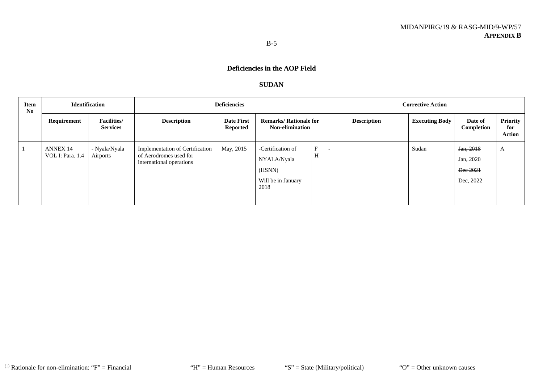### **SUDAN**

| Item<br>N <sub>0</sub> | <b>Identification</b>               |                                       | <b>Deficiencies</b>                                                                          |                                      |                                                                          |         | <b>Corrective Action</b> |                       |                                                 |                                  |  |
|------------------------|-------------------------------------|---------------------------------------|----------------------------------------------------------------------------------------------|--------------------------------------|--------------------------------------------------------------------------|---------|--------------------------|-----------------------|-------------------------------------------------|----------------------------------|--|
|                        | Requirement                         | <b>Facilities/</b><br><b>Services</b> | <b>Description</b>                                                                           | <b>Date First</b><br><b>Reported</b> | <b>Remarks/ Rationale for</b><br><b>Non-elimination</b>                  |         | <b>Description</b>       | <b>Executing Body</b> | Date of<br>Completion                           | Priority<br>for<br><b>Action</b> |  |
|                        | <b>ANNEX 14</b><br>VOL I: Para. 1.4 | - Nyala/Nyala<br>Airports             | <b>Implementation of Certification</b><br>of Aerodromes used for<br>international operations | May, 2015                            | -Certification of<br>NYALA/Nyala<br>(HSNN)<br>Will be in January<br>2018 | E.<br>Н |                          | Sudan                 | Jan, 2018<br>Jan, 2020<br>Dec 2021<br>Dec, 2022 | A                                |  |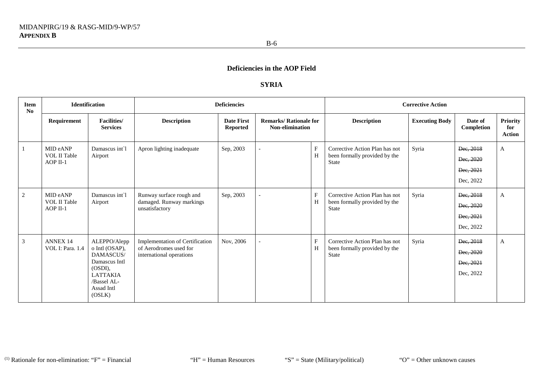### **SYRIA**

| <b>Item</b><br>No |                                             | <b>Identification</b>                                                                                                                |                                                                                       | <b>Deficiencies</b>                  |                                                         |        |                                                                                 | <b>Corrective Action</b> |                                                  |                                         |
|-------------------|---------------------------------------------|--------------------------------------------------------------------------------------------------------------------------------------|---------------------------------------------------------------------------------------|--------------------------------------|---------------------------------------------------------|--------|---------------------------------------------------------------------------------|--------------------------|--------------------------------------------------|-----------------------------------------|
|                   | Requirement                                 | <b>Facilities</b> /<br><b>Services</b>                                                                                               | <b>Description</b>                                                                    | <b>Date First</b><br><b>Reported</b> | <b>Remarks/ Rationale for</b><br><b>Non-elimination</b> |        | <b>Description</b>                                                              | <b>Executing Body</b>    | Date of<br>Completion                            | <b>Priority</b><br>for<br><b>Action</b> |
| -1                | MID eANP<br>VOL II Table<br>AOP II-1        | Damascus int'l<br>Airport                                                                                                            | Apron lighting inadequate                                                             | Sep, 2003                            |                                                         | F<br>H | Corrective Action Plan has not<br>been formally provided by the<br><b>State</b> | Syria                    | Dec, 2018<br>Dec, 2020<br>Dec, 2021<br>Dec, 2022 | A                                       |
| 2                 | MID eANP<br><b>VOL II Table</b><br>AOP II-1 | Damascus int'l<br>Airport                                                                                                            | Runway surface rough and<br>damaged. Runway markings<br>unsatisfactory                | Sep, 2003                            |                                                         | F<br>H | Corrective Action Plan has not<br>been formally provided by the<br>State        | Syria                    | Dec, 2018<br>Dec, 2020<br>Dec, 2021<br>Dec, 2022 | A                                       |
| 3                 | <b>ANNEX 14</b><br>VOL I: Para. 1.4         | ALEPPO/Alepp<br>o Intl (OSAP),<br>DAMASCUS/<br>Damascus Intl<br>$(OSDI)$ ,<br><b>LATTAKIA</b><br>/Bassel AL-<br>Assad Intl<br>(OSLK) | Implementation of Certification<br>of Aerodromes used for<br>international operations | Nov, 2006                            |                                                         | F<br>H | Corrective Action Plan has not<br>been formally provided by the<br><b>State</b> | Syria                    | Dec, 2018<br>Dec, 2020<br>Dec, 2021<br>Dec, 2022 | $\mathbf{A}$                            |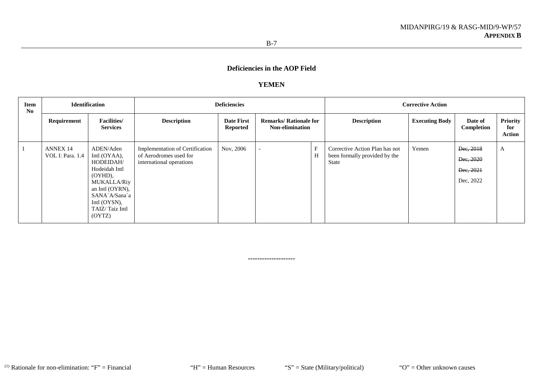### **YEMEN**

| <b>Item</b><br>No | <b>Identification</b>               |                                                                                                                                                                             | <b>Deficiencies</b>                                                                   |                                      |                                                         |                   | <b>Corrective Action</b>                                                 |                       |                                                  |                                         |  |
|-------------------|-------------------------------------|-----------------------------------------------------------------------------------------------------------------------------------------------------------------------------|---------------------------------------------------------------------------------------|--------------------------------------|---------------------------------------------------------|-------------------|--------------------------------------------------------------------------|-----------------------|--------------------------------------------------|-----------------------------------------|--|
|                   | Requirement                         | <b>Facilities</b> /<br><b>Services</b>                                                                                                                                      | <b>Description</b>                                                                    | <b>Date First</b><br><b>Reported</b> | <b>Remarks/ Rationale for</b><br><b>Non-elimination</b> |                   | <b>Description</b>                                                       | <b>Executing Body</b> | Date of<br>Completion                            | <b>Priority</b><br>for<br><b>Action</b> |  |
|                   | <b>ANNEX 14</b><br>VOL I: Para. 1.4 | ADEN/Aden<br>Intl (OYAA),<br>HODEIDAH/<br>Hodeidah Intl<br>$(OYHD)$ ,<br><b>MUKALLA/Riy</b><br>an Intl (OYRN),<br>SANA`A/Sana`a<br>Intl (OYSN),<br>TAIZ/Taiz Intl<br>(OYTZ) | Implementation of Certification<br>of Aerodromes used for<br>international operations | Nov, 2006                            |                                                         | $\mathbf{F}$<br>H | Corrective Action Plan has not<br>been formally provided by the<br>State | Yemen                 | Dec, 2018<br>Dec, 2020<br>Dec, 2021<br>Dec, 2022 | $\mathbf{A}$                            |  |

**--------------------**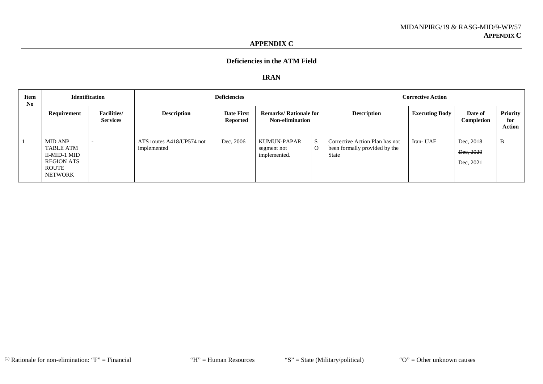### **APPENDIX C**

# **Deficiencies in the ATM Field**

#### **IRAN**

| <b>Item</b><br>No | <b>Identification</b>                                                                                     |  |                                          | <b>Deficiencies</b>                  |                                                         | <b>Corrective Action</b> |                                                                                 |                       |                                     |                                         |
|-------------------|-----------------------------------------------------------------------------------------------------------|--|------------------------------------------|--------------------------------------|---------------------------------------------------------|--------------------------|---------------------------------------------------------------------------------|-----------------------|-------------------------------------|-----------------------------------------|
|                   | <b>Facilities/</b><br>Requirement<br><b>Services</b>                                                      |  | <b>Description</b>                       | <b>Date First</b><br><b>Reported</b> | <b>Remarks/ Rationale for</b><br><b>Non-elimination</b> |                          | <b>Description</b>                                                              | <b>Executing Body</b> | Date of<br>Completion               | <b>Priority</b><br>for<br><b>Action</b> |
|                   | <b>MID ANP</b><br><b>TABLE ATM</b><br>II-MID-1 MID<br><b>REGION ATS</b><br><b>ROUTE</b><br><b>NETWORK</b> |  | ATS routes A418/UP574 not<br>implemented | Dec, 2006                            | KUMUN-PAPAR<br>segment not<br>implemented.              | S<br>$\Omega$            | Corrective Action Plan has not<br>been formally provided by the<br><b>State</b> | Iran-UAE              | Dec, 2018<br>Dec, 2020<br>Dec, 2021 | B                                       |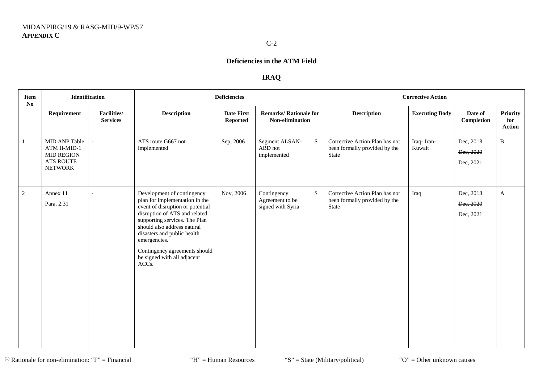## **IRAQ**

| Item<br>$\mathbf{N}\mathbf{o}$ | Identification                                                                           |                                       |                                                                                                                                                                                                                                                                                                                           | <b>Deficiencies</b>                  |                                                     |           |                                                                          | <b>Corrective Action</b> |                                     |                                         |
|--------------------------------|------------------------------------------------------------------------------------------|---------------------------------------|---------------------------------------------------------------------------------------------------------------------------------------------------------------------------------------------------------------------------------------------------------------------------------------------------------------------------|--------------------------------------|-----------------------------------------------------|-----------|--------------------------------------------------------------------------|--------------------------|-------------------------------------|-----------------------------------------|
|                                | Requirement                                                                              | <b>Facilities/</b><br><b>Services</b> | <b>Description</b>                                                                                                                                                                                                                                                                                                        | <b>Date First</b><br><b>Reported</b> | <b>Remarks/ Rationale for</b><br>Non-elimination    |           | <b>Description</b>                                                       | <b>Executing Body</b>    | Date of<br>Completion               | <b>Priority</b><br>for<br><b>Action</b> |
| 1                              | MID ANP Table<br>ATM II-MID-1<br><b>MID REGION</b><br><b>ATS ROUTE</b><br><b>NETWORK</b> |                                       | ATS route G667 not<br>implemented                                                                                                                                                                                                                                                                                         | Sep, 2006                            | Segment ALSAN-<br>ABD not<br>implemented            | ${\bf S}$ | Corrective Action Plan has not<br>been formally provided by the<br>State | Iraq-Iran-<br>Kuwait     | Dec, 2018<br>Dec, 2020<br>Dec, 2021 | B                                       |
| 2                              | Annex 11<br>Para. 2.31                                                                   |                                       | Development of contingency<br>plan for implementation in the<br>event of disruption or potential<br>disruption of ATS and related<br>supporting services. The Plan<br>should also address natural<br>disasters and public health<br>emergencies.<br>Contingency agreements should<br>be signed with all adjacent<br>ACCs. | Nov, 2006                            | Contingency<br>Agreement to be<br>signed with Syria | S         | Corrective Action Plan has not<br>been formally provided by the<br>State | Iraq                     | Dec, 2018<br>Dec, 2020<br>Dec, 2021 | A                                       |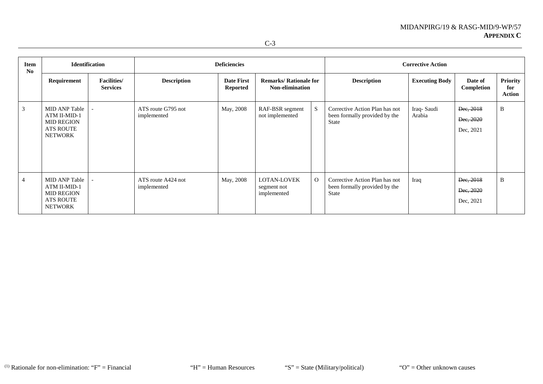#### MIDANPIRG/19 & RASG-MID/9-WP/57 **APPENDIX C**

| Item<br>No | <b>Identification</b>                                                                                  |                                       |                                   | <b>Deficiencies</b>                  |                                                         |          | <b>Corrective Action</b>                                                        |                       |                                     |                                         |  |
|------------|--------------------------------------------------------------------------------------------------------|---------------------------------------|-----------------------------------|--------------------------------------|---------------------------------------------------------|----------|---------------------------------------------------------------------------------|-----------------------|-------------------------------------|-----------------------------------------|--|
|            | Requirement                                                                                            | <b>Facilities/</b><br><b>Services</b> | <b>Description</b>                | <b>Date First</b><br><b>Reported</b> | <b>Remarks/ Rationale for</b><br><b>Non-elimination</b> |          | <b>Description</b>                                                              | <b>Executing Body</b> | Date of<br>Completion               | <b>Priority</b><br>for<br><b>Action</b> |  |
| 3          | <b>MID ANP Table</b><br><b>ATM II-MID-1</b><br><b>MID REGION</b><br><b>ATS ROUTE</b><br><b>NETWORK</b> |                                       | ATS route G795 not<br>implemented | May, 2008                            | RAF-BSR segment<br>not implemented                      | S        | Corrective Action Plan has not<br>been formally provided by the<br>State        | Iraq-Saudi<br>Arabia  | Dec, 2018<br>Dec, 2020<br>Dec, 2021 | B                                       |  |
| 4          | MID ANP Table<br>ATM II-MID-1<br><b>MID REGION</b><br><b>ATS ROUTE</b><br><b>NETWORK</b>               |                                       | ATS route A424 not<br>implemented | May, 2008                            | LOTAN-LOVEK<br>segment not<br>implemented               | $\Omega$ | Corrective Action Plan has not<br>been formally provided by the<br><b>State</b> | Iraq                  | Dec, 2018<br>Dec, 2020<br>Dec, 2021 | B                                       |  |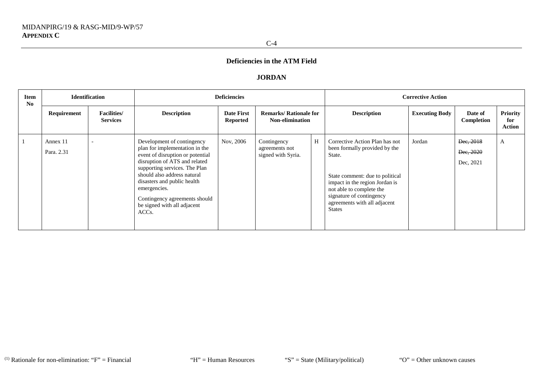#### **JORDAN**

| <b>Item</b><br>No | <b>Identification</b>  |                                       | <b>Deficiencies</b>                                                                                                                                                                                                                                                                                                                    |                                      |                                                         |   | <b>Corrective Action</b>                                                                                                                                                                                                                                |                       |                                     |                                         |  |
|-------------------|------------------------|---------------------------------------|----------------------------------------------------------------------------------------------------------------------------------------------------------------------------------------------------------------------------------------------------------------------------------------------------------------------------------------|--------------------------------------|---------------------------------------------------------|---|---------------------------------------------------------------------------------------------------------------------------------------------------------------------------------------------------------------------------------------------------------|-----------------------|-------------------------------------|-----------------------------------------|--|
|                   | Requirement            | <b>Facilities/</b><br><b>Services</b> | <b>Description</b>                                                                                                                                                                                                                                                                                                                     | <b>Date First</b><br><b>Reported</b> | <b>Remarks/ Rationale for</b><br><b>Non-elimination</b> |   | <b>Description</b>                                                                                                                                                                                                                                      | <b>Executing Body</b> | Date of<br>Completion               | <b>Priority</b><br>for<br><b>Action</b> |  |
|                   | Annex 11<br>Para. 2.31 |                                       | Development of contingency<br>plan for implementation in the<br>event of disruption or potential<br>disruption of ATS and related<br>supporting services. The Plan<br>should also address natural<br>disasters and public health<br>emergencies.<br>Contingency agreements should<br>be signed with all adjacent<br>ACC <sub>s</sub> . | Nov, 2006                            | Contingency<br>agreements not<br>signed with Syria.     | H | Corrective Action Plan has not<br>been formally provided by the<br>State.<br>State comment: due to political<br>impact in the region Jordan is<br>not able to complete the<br>signature of contingency<br>agreements with all adjacent<br><b>States</b> | Jordan                | Dec, 2018<br>Dec, 2020<br>Dec, 2021 | A                                       |  |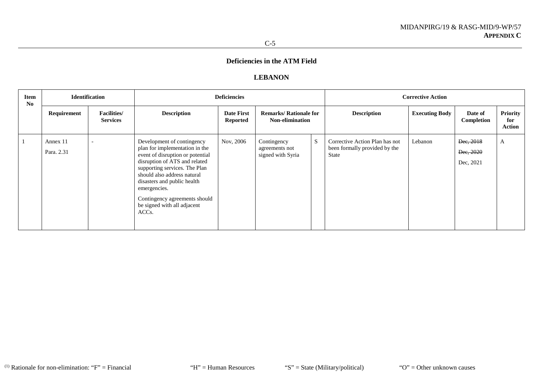#### **LEBANON**

| Item<br>No | <b>Identification</b>  |                                       | <b>Deficiencies</b>                                                                                                                                                                                                                                                                                                       |                                      |                                                    |   | <b>Corrective Action</b>                                                 |                       |                                     |                                  |  |
|------------|------------------------|---------------------------------------|---------------------------------------------------------------------------------------------------------------------------------------------------------------------------------------------------------------------------------------------------------------------------------------------------------------------------|--------------------------------------|----------------------------------------------------|---|--------------------------------------------------------------------------|-----------------------|-------------------------------------|----------------------------------|--|
|            | Requirement            | <b>Facilities/</b><br><b>Services</b> | <b>Description</b>                                                                                                                                                                                                                                                                                                        | <b>Date First</b><br><b>Reported</b> | <b>Remarks/ Rationale for</b><br>Non-elimination   |   | <b>Description</b>                                                       | <b>Executing Body</b> | Date of<br>Completion               | Priority<br>for<br><b>Action</b> |  |
|            | Annex 11<br>Para, 2.31 |                                       | Development of contingency<br>plan for implementation in the<br>event of disruption or potential<br>disruption of ATS and related<br>supporting services. The Plan<br>should also address natural<br>disasters and public health<br>emergencies.<br>Contingency agreements should<br>be signed with all adjacent<br>ACCs. | Nov, 2006                            | Contingency<br>agreements not<br>signed with Syria | S | Corrective Action Plan has not<br>been formally provided by the<br>State | Lebanon               | Dec, 2018<br>Dec, 2020<br>Dec, 2021 | A                                |  |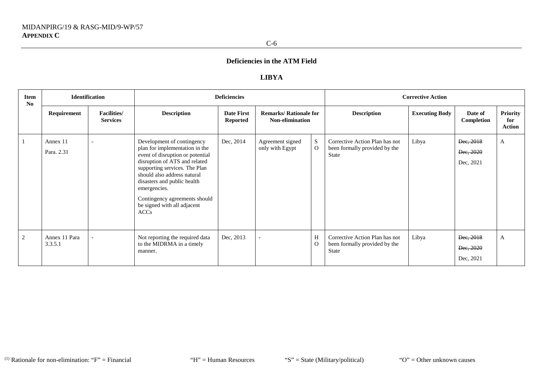### **LIBYA**

| <b>Item</b><br>N <sub>0</sub> | <b>Identification</b>    |                                       |                                                                                                                                                                                                                                                                                                                                 | <b>Deficiencies</b>                  |                                                         |               |                                                                          | <b>Corrective Action</b> |                                     |                                  |
|-------------------------------|--------------------------|---------------------------------------|---------------------------------------------------------------------------------------------------------------------------------------------------------------------------------------------------------------------------------------------------------------------------------------------------------------------------------|--------------------------------------|---------------------------------------------------------|---------------|--------------------------------------------------------------------------|--------------------------|-------------------------------------|----------------------------------|
|                               | Requirement              | <b>Facilities/</b><br><b>Services</b> | <b>Description</b>                                                                                                                                                                                                                                                                                                              | <b>Date First</b><br><b>Reported</b> | <b>Remarks/ Rationale for</b><br><b>Non-elimination</b> |               | <b>Description</b>                                                       | <b>Executing Body</b>    | Date of<br>Completion               | <b>Priority</b><br>for<br>Action |
|                               | Annex 11<br>Para. 2.31   |                                       | Development of contingency<br>plan for implementation in the<br>event of disruption or potential<br>disruption of ATS and related<br>supporting services. The Plan<br>should also address natural<br>disasters and public health<br>emergencies.<br>Contingency agreements should<br>be signed with all adjacent<br><b>ACCs</b> | Dec, 2014                            | Agreement signed<br>only with Egypt                     | S<br>$\Omega$ | Corrective Action Plan has not<br>been formally provided by the<br>State | Libya                    | Dec, 2018<br>Dec, 2020<br>Dec, 2021 | A                                |
| 2                             | Annex 11 Para<br>3.3.5.1 |                                       | Not reporting the required data<br>to the MIDRMA in a timely<br>manner.                                                                                                                                                                                                                                                         | Dec, 2013                            | $\overline{\phantom{a}}$                                | H<br>$\Omega$ | Corrective Action Plan has not<br>been formally provided by the<br>State | Libya                    | Dec, 2018<br>Dec, 2020<br>Dec, 2021 | A                                |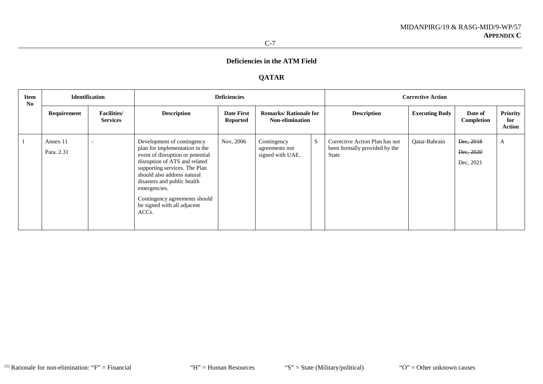# **QATAR**

| Item<br>No |                        | <b>Identification</b>                 | <b>Deficiencies</b>                                                                                                                                                                                                                                                                                                                    |                                      |                                                         |   | <b>Corrective Action</b>                                                 |                       |                                     |                                         |  |
|------------|------------------------|---------------------------------------|----------------------------------------------------------------------------------------------------------------------------------------------------------------------------------------------------------------------------------------------------------------------------------------------------------------------------------------|--------------------------------------|---------------------------------------------------------|---|--------------------------------------------------------------------------|-----------------------|-------------------------------------|-----------------------------------------|--|
|            | Requirement            | <b>Facilities/</b><br><b>Services</b> | <b>Description</b>                                                                                                                                                                                                                                                                                                                     | <b>Date First</b><br><b>Reported</b> | <b>Remarks/ Rationale for</b><br><b>Non-elimination</b> |   | <b>Description</b>                                                       | <b>Executing Body</b> | Date of<br>Completion               | <b>Priority</b><br>for<br><b>Action</b> |  |
|            | Annex 11<br>Para. 2.31 |                                       | Development of contingency<br>plan for implementation in the<br>event of disruption or potential<br>disruption of ATS and related<br>supporting services. The Plan<br>should also address natural<br>disasters and public health<br>emergencies.<br>Contingency agreements should<br>be signed with all adjacent<br>ACC <sub>s</sub> . | Nov, 2006                            | Contingency<br>agreements not<br>signed with UAE.       | S | Corrective Action Plan has not<br>been formally provided by the<br>State | Qatar-Bahrain         | Dec, 2018<br>Dec, 2020<br>Dec, 2021 | A                                       |  |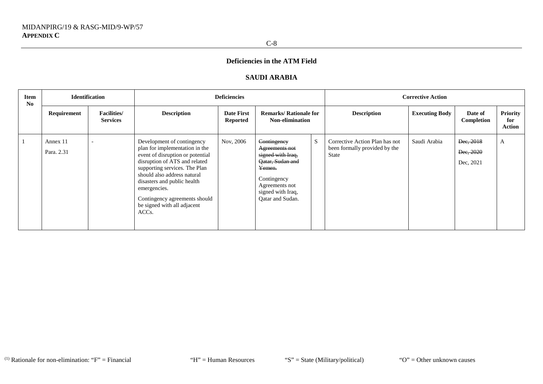# **SAUDI ARABIA**

| Item<br>No | <b>Identification</b>  |                                        |                                                                                                                                                                                                                                                                                                                                        | <b>Deficiencies</b>                  |                                                                                                                                                            |   |                                                                                 | <b>Corrective Action</b> |                                     |                                  |
|------------|------------------------|----------------------------------------|----------------------------------------------------------------------------------------------------------------------------------------------------------------------------------------------------------------------------------------------------------------------------------------------------------------------------------------|--------------------------------------|------------------------------------------------------------------------------------------------------------------------------------------------------------|---|---------------------------------------------------------------------------------|--------------------------|-------------------------------------|----------------------------------|
|            | Requirement            | <b>Facilities</b> /<br><b>Services</b> | <b>Description</b>                                                                                                                                                                                                                                                                                                                     | <b>Date First</b><br><b>Reported</b> | <b>Remarks/ Rationale for</b><br>Non-elimination                                                                                                           |   | <b>Description</b>                                                              | <b>Executing Body</b>    | Date of<br>Completion               | Priority<br>for<br><b>Action</b> |
|            | Annex 11<br>Para. 2.31 |                                        | Development of contingency<br>plan for implementation in the<br>event of disruption or potential<br>disruption of ATS and related<br>supporting services. The Plan<br>should also address natural<br>disasters and public health<br>emergencies.<br>Contingency agreements should<br>be signed with all adjacent<br>ACC <sub>s</sub> . | Nov, 2006                            | Contingency<br>Agreements not<br>signed with Iraq,<br>Oatar, Sudan and<br>Yemen.<br>Contingency<br>Agreements not<br>signed with Iraq,<br>Qatar and Sudan. | S | Corrective Action Plan has not<br>been formally provided by the<br><b>State</b> | Saudi Arabia             | Dec, 2018<br>Dec, 2020<br>Dec, 2021 | A                                |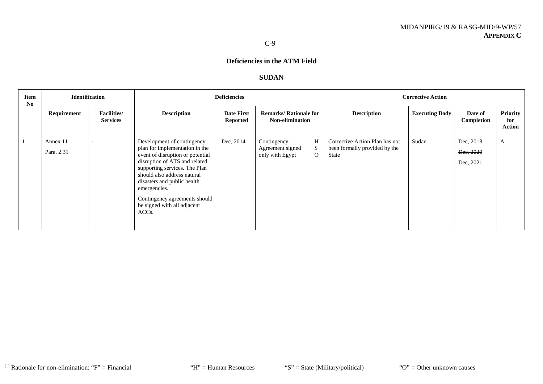### **SUDAN**

| Item<br>No |                        | <b>Identification</b>                  |                                                                                                                                                                                                                                                                                                                                        | <b>Deficiencies</b>                  |                                                         |                        |                                                                          | <b>Corrective Action</b> |                                     |                           |
|------------|------------------------|----------------------------------------|----------------------------------------------------------------------------------------------------------------------------------------------------------------------------------------------------------------------------------------------------------------------------------------------------------------------------------------|--------------------------------------|---------------------------------------------------------|------------------------|--------------------------------------------------------------------------|--------------------------|-------------------------------------|---------------------------|
|            | Requirement            | <b>Facilities</b> /<br><b>Services</b> | <b>Description</b>                                                                                                                                                                                                                                                                                                                     | <b>Date First</b><br><b>Reported</b> | <b>Remarks/ Rationale for</b><br><b>Non-elimination</b> |                        | <b>Description</b>                                                       | <b>Executing Body</b>    | Date of<br>Completion               | Priority<br>for<br>Action |
|            | Annex 11<br>Para. 2.31 |                                        | Development of contingency<br>plan for implementation in the<br>event of disruption or potential<br>disruption of ATS and related<br>supporting services. The Plan<br>should also address natural<br>disasters and public health<br>emergencies.<br>Contingency agreements should<br>be signed with all adjacent<br>ACC <sub>s</sub> . | Dec, 2014                            | Contingency<br>Agreement signed<br>only with Egypt      | H<br>S<br>$\mathbf{O}$ | Corrective Action Plan has not<br>been formally provided by the<br>State | Sudan                    | Dec, 2018<br>Dec, 2020<br>Dec, 2021 | A                         |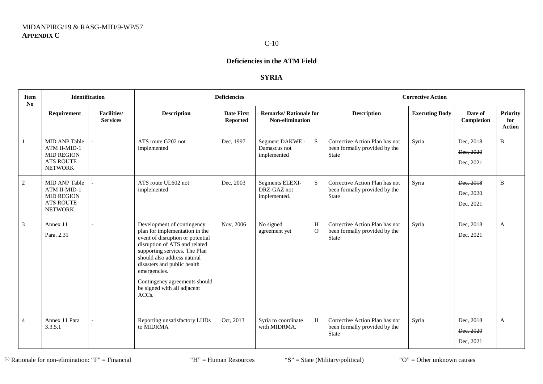# **SYRIA**

| <b>Item</b><br>N <sub>o</sub> | <b>Identification</b>                                                                           |                                       |                                                                                                                                                                                                                                                                                                                                        | <b>Deficiencies</b>                  |                                                         |               | <b>Corrective Action</b>                                                        |                       |                                     |                                         |
|-------------------------------|-------------------------------------------------------------------------------------------------|---------------------------------------|----------------------------------------------------------------------------------------------------------------------------------------------------------------------------------------------------------------------------------------------------------------------------------------------------------------------------------------|--------------------------------------|---------------------------------------------------------|---------------|---------------------------------------------------------------------------------|-----------------------|-------------------------------------|-----------------------------------------|
|                               | Requirement                                                                                     | <b>Facilities/</b><br><b>Services</b> | <b>Description</b>                                                                                                                                                                                                                                                                                                                     | <b>Date First</b><br><b>Reported</b> | <b>Remarks/ Rationale for</b><br><b>Non-elimination</b> |               | <b>Description</b>                                                              | <b>Executing Body</b> | Date of<br>Completion               | <b>Priority</b><br>for<br><b>Action</b> |
| -1                            | MID ANP Table<br>ATM II-MID-1<br><b>MID REGION</b><br><b>ATS ROUTE</b><br><b>NETWORK</b>        |                                       | ATS route G202 not<br>implemented                                                                                                                                                                                                                                                                                                      | Dec, 1997                            | Segment DAKWE -<br>Damascus not<br>implemented          | S             | Corrective Action Plan has not<br>been formally provided by the<br><b>State</b> | Syria                 | Dec, 2018<br>Dec, 2020<br>Dec, 2021 | B                                       |
| 2                             | <b>MID ANP Table</b><br>ATM II-MID-1<br><b>MID REGION</b><br><b>ATS ROUTE</b><br><b>NETWORK</b> |                                       | ATS route UL602 not<br>implemented                                                                                                                                                                                                                                                                                                     | Dec, 2003                            | Segments ELEXI-<br>DRZ-GAZ not<br>implemented.          | S             | Corrective Action Plan has not<br>been formally provided by the<br><b>State</b> | Syria                 | Dec, 2018<br>Dec, 2020<br>Dec, 2021 | B                                       |
| $\overline{3}$                | Annex 11<br>Para, 2.31                                                                          |                                       | Development of contingency<br>plan for implementation in the<br>event of disruption or potential<br>disruption of ATS and related<br>supporting services. The Plan<br>should also address natural<br>disasters and public health<br>emergencies.<br>Contingency agreements should<br>be signed with all adjacent<br>ACC <sub>s</sub> . | Nov, 2006                            | No signed<br>agreement yet                              | H<br>$\Omega$ | Corrective Action Plan has not<br>been formally provided by the<br>State        | Syria                 | Dec, 2018<br>Dec, 2021              | A                                       |
| $\overline{4}$                | Annex 11 Para<br>3.3.5.1                                                                        |                                       | Reporting unsatisfactory LHDs<br>to MIDRMA                                                                                                                                                                                                                                                                                             | Oct, 2013                            | Syria to coordinate<br>with MIDRMA.                     | H             | Corrective Action Plan has not<br>been formally provided by the<br><b>State</b> | Syria                 | Dec, 2018<br>Dec, 2020<br>Dec, 2021 | A                                       |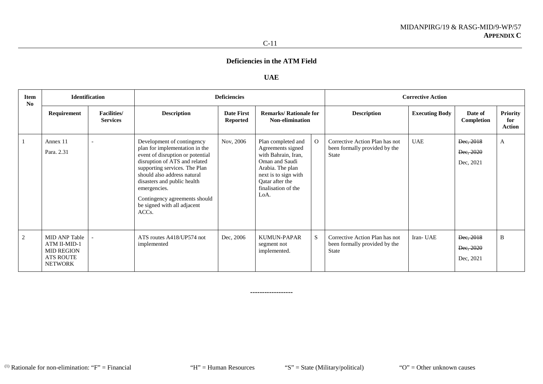#### **UAE**

| <b>Item</b><br>No |                                                                                                 | <b>Identification</b>                 |                                                                                                                                                                                                                                                                                                                           | <b>Deficiencies</b>           |                                                                                                                                                                                |                |                                                                                 | <b>Corrective Action</b> |                                     |                                         |
|-------------------|-------------------------------------------------------------------------------------------------|---------------------------------------|---------------------------------------------------------------------------------------------------------------------------------------------------------------------------------------------------------------------------------------------------------------------------------------------------------------------------|-------------------------------|--------------------------------------------------------------------------------------------------------------------------------------------------------------------------------|----------------|---------------------------------------------------------------------------------|--------------------------|-------------------------------------|-----------------------------------------|
|                   | Requirement                                                                                     | <b>Facilities/</b><br><b>Services</b> | <b>Description</b>                                                                                                                                                                                                                                                                                                        | <b>Date First</b><br>Reported | <b>Remarks/ Rationale for</b><br><b>Non-elimination</b>                                                                                                                        |                | <b>Description</b>                                                              | <b>Executing Body</b>    | Date of<br>Completion               | <b>Priority</b><br>for<br><b>Action</b> |
|                   | Annex 11<br>Para, 2.31                                                                          |                                       | Development of contingency<br>plan for implementation in the<br>event of disruption or potential<br>disruption of ATS and related<br>supporting services. The Plan<br>should also address natural<br>disasters and public health<br>emergencies.<br>Contingency agreements should<br>be signed with all adjacent<br>ACCs. | Nov, 2006                     | Plan completed and<br>Agreements signed<br>with Bahrain, Iran,<br>Oman and Saudi<br>Arabia. The plan<br>next is to sign with<br>Qatar after the<br>finalisation of the<br>LoA. | $\overline{O}$ | Corrective Action Plan has not<br>been formally provided by the<br><b>State</b> | <b>UAE</b>               | Dec, 2018<br>Dec, 2020<br>Dec, 2021 | A                                       |
| 2                 | <b>MID ANP Table</b><br>ATM II-MID-1<br><b>MID REGION</b><br><b>ATS ROUTE</b><br><b>NETWORK</b> |                                       | ATS routes A418/UP574 not<br>implemented                                                                                                                                                                                                                                                                                  | Dec, 2006                     | <b>KUMUN-PAPAR</b><br>segment not<br>implemented.                                                                                                                              | <sub>S</sub>   | Corrective Action Plan has not<br>been formally provided by the<br>State        | Iran-UAE                 | Dec, 2018<br>Dec, 2020<br>Dec, 2021 | B                                       |

**------------------**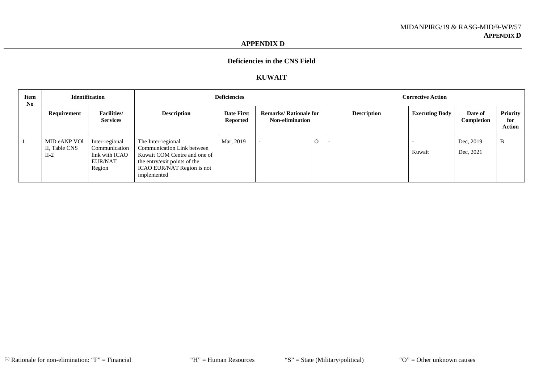#### **APPENDIX D**

### **Deficiencies in the CNS Field**

#### **KUWAIT**

| <b>Item</b><br>No |                                         | <b>Identification</b>                                                  |                                                                                                                                                                      | <b>Deficiencies</b>                  |                                                         |          |                    | <b>Corrective Action</b> |                        |                                         |
|-------------------|-----------------------------------------|------------------------------------------------------------------------|----------------------------------------------------------------------------------------------------------------------------------------------------------------------|--------------------------------------|---------------------------------------------------------|----------|--------------------|--------------------------|------------------------|-----------------------------------------|
|                   | Requirement                             | <b>Facilities</b> /<br><b>Services</b>                                 | <b>Description</b>                                                                                                                                                   | <b>Date First</b><br><b>Reported</b> | <b>Remarks/ Rationale for</b><br><b>Non-elimination</b> |          | <b>Description</b> | <b>Executing Body</b>    | Date of<br>Completion  | <b>Priority</b><br>for<br><b>Action</b> |
|                   | MID eANP VOI<br>II, Table CNS<br>$II-2$ | Inter-regional<br>Communication<br>link with ICAO<br>EUR/NAT<br>Region | The Inter-regional<br><b>Communication Link between</b><br>Kuwait COM Centre and one of<br>the entry/exit points of the<br>ICAO EUR/NAT Region is not<br>implemented | Mar, 2019                            |                                                         | $\Omega$ |                    | Kuwait                   | Dec, 2019<br>Dec, 2021 | B                                       |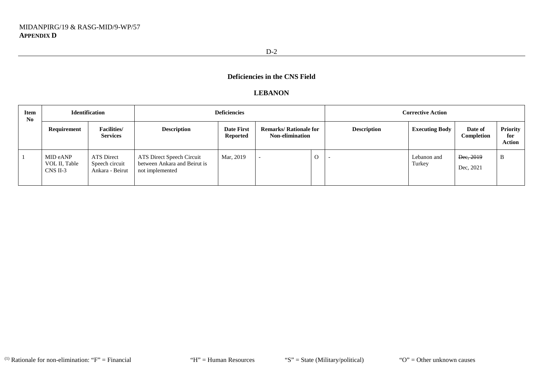#### **LEBANON**

| <b>Item</b><br>No |                                       | <b>Identification</b>                                  |                                                                              | <b>Deficiencies</b>           |                                                         |          |                    | <b>Corrective Action</b> |                        |                                  |
|-------------------|---------------------------------------|--------------------------------------------------------|------------------------------------------------------------------------------|-------------------------------|---------------------------------------------------------|----------|--------------------|--------------------------|------------------------|----------------------------------|
|                   | Requirement                           | <b>Facilities</b> /<br><b>Services</b>                 | <b>Description</b>                                                           | <b>Date First</b><br>Reported | <b>Remarks/ Rationale for</b><br><b>Non-elimination</b> |          | <b>Description</b> | <b>Executing Body</b>    | Date of<br>Completion  | Priority<br>for<br><b>Action</b> |
|                   | MID eANP<br>VOL II, Table<br>CNS II-3 | <b>ATS Direct</b><br>Speech circuit<br>Ankara - Beirut | ATS Direct Speech Circuit<br>between Ankara and Beirut is<br>not implemented | Mar, 2019                     | $\overline{\phantom{a}}$                                | $\Omega$ |                    | Lebanon and<br>Turkey    | Dec, 2019<br>Dec, 2021 | B                                |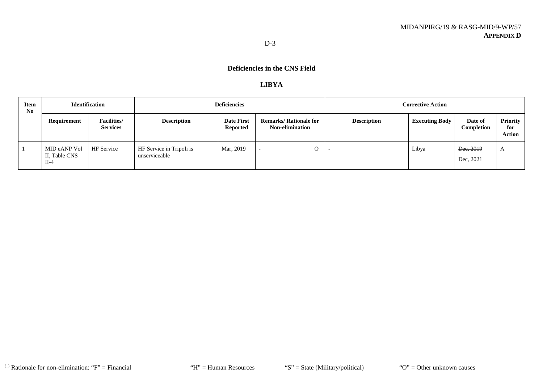#### **LIBYA**

| Item<br>No |                                         | <b>Identification</b>                 |                                           | <b>Deficiencies</b>           |                                                         |   |                    | <b>Corrective Action</b> |                              |                                  |
|------------|-----------------------------------------|---------------------------------------|-------------------------------------------|-------------------------------|---------------------------------------------------------|---|--------------------|--------------------------|------------------------------|----------------------------------|
|            | Requirement                             | <b>Facilities/</b><br><b>Services</b> | <b>Description</b>                        | Date First<br><b>Reported</b> | <b>Remarks/ Rationale for</b><br><b>Non-elimination</b> |   | <b>Description</b> | <b>Executing Body</b>    | Date of<br><b>Completion</b> | Priority<br>for<br><b>Action</b> |
|            | MID eANP Vol<br>II, Table CNS<br>$II-4$ | <b>HF</b> Service                     | HF Service in Tripoli is<br>unserviceable | Mar, 2019                     | $\overline{\phantom{0}}$                                | O |                    | Libya                    | Dec, 2019<br>Dec, 2021       | $\Delta$                         |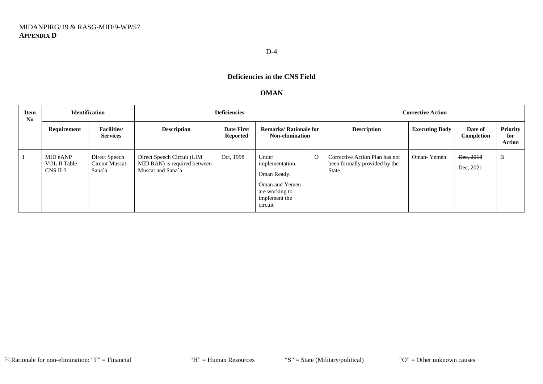# **OMAN**

| Item<br>No |                                               | <b>Identification</b>                      |                                                                                 | <b>Deficiencies</b>                  |                                                                                                         |          |                                                                           | <b>Corrective Action</b> |                        |                                  |
|------------|-----------------------------------------------|--------------------------------------------|---------------------------------------------------------------------------------|--------------------------------------|---------------------------------------------------------------------------------------------------------|----------|---------------------------------------------------------------------------|--------------------------|------------------------|----------------------------------|
|            | Requirement                                   | <b>Facilities</b> /<br><b>Services</b>     | <b>Description</b>                                                              | <b>Date First</b><br><b>Reported</b> | <b>Remarks/ Rationale for</b><br><b>Non-elimination</b>                                                 |          | <b>Description</b>                                                        | <b>Executing Body</b>    | Date of<br>Completion  | Priority<br>for<br><b>Action</b> |
|            | MID eANP<br><b>VOL II Table</b><br>$CNS$ II-3 | Direct Speech<br>Circuit Muscat-<br>Sana`a | Direct Speech Circuit (LIM<br>MID RAN) is required between<br>Muscat and Sana`a | Oct, 1998                            | Under<br>implementation.<br>Oman Ready.<br>Oman and Yemen<br>are working to<br>implement the<br>circuit | $\Omega$ | Corrective Action Plan has not<br>been formally provided by the<br>State. | Oman-Yemen               | Dec, 2018<br>Dec, 2021 | B                                |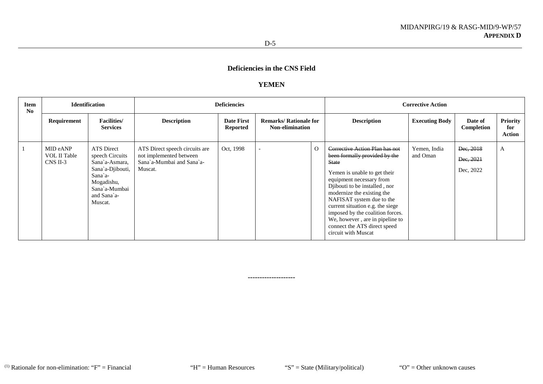#### **YEMEN**

| <b>Item</b><br>No |                                             | <b>Identification</b>                                                                                                                             |                                                                                                   | <b>Deficiencies</b>                  |                                                         |          |                                                                                                                                                                                                                                                                                                                                                                                                    | <b>Corrective Action</b> |                                     |                           |
|-------------------|---------------------------------------------|---------------------------------------------------------------------------------------------------------------------------------------------------|---------------------------------------------------------------------------------------------------|--------------------------------------|---------------------------------------------------------|----------|----------------------------------------------------------------------------------------------------------------------------------------------------------------------------------------------------------------------------------------------------------------------------------------------------------------------------------------------------------------------------------------------------|--------------------------|-------------------------------------|---------------------------|
|                   | Requirement                                 | <b>Facilities</b> /<br><b>Services</b>                                                                                                            | <b>Description</b>                                                                                | <b>Date First</b><br><b>Reported</b> | <b>Remarks/ Rationale for</b><br><b>Non-elimination</b> |          | <b>Description</b>                                                                                                                                                                                                                                                                                                                                                                                 | <b>Executing Body</b>    | Date of<br>Completion               | Priority<br>for<br>Action |
|                   | MID eANP<br><b>VOL II Table</b><br>CNS II-3 | ATS Direct<br>speech Circuits<br>Sana`a-Asmara,<br>Sana`a-Djibouti,<br>Sana <sub>a</sub><br>Mogadishu,<br>Sana`a-Mumbai<br>and Sana`a-<br>Muscat. | ATS Direct speech circuits are<br>not implemented between<br>Sana`a-Mumbai and Sana`a-<br>Muscat. | Oct. 1998                            |                                                         | $\Omega$ | Corrective Action Plan has not<br>been formally provided by the<br>State<br>Yemen is unable to get their<br>equipment necessary from<br>Djibouti to be installed, nor<br>modernize the existing the<br>NAFISAT system due to the<br>current situation e.g. the siege<br>imposed by the coalition forces.<br>We, however, are in pipeline to<br>connect the ATS direct speed<br>circuit with Muscat | Yemen, India<br>and Oman | Dec, 2018<br>Dec, 2021<br>Dec, 2022 | A                         |

**--------------------**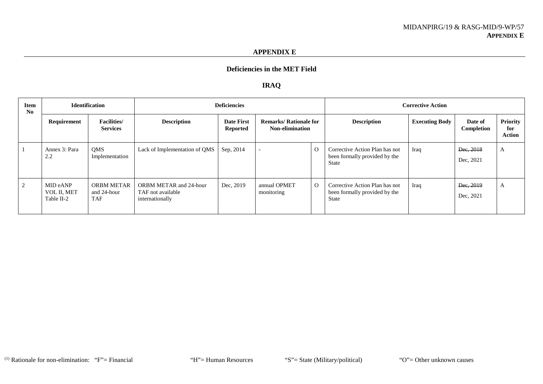#### **APPENDIX E**

# **Deficiencies in the MET Field**

### **IRAQ**

| Item<br>No     |                                       | <b>Identification</b>                          | <b>Deficiencies</b>                                                   |                                      |                                                  | <b>Corrective Action</b> |                                                                                 |                       |                        |                                         |
|----------------|---------------------------------------|------------------------------------------------|-----------------------------------------------------------------------|--------------------------------------|--------------------------------------------------|--------------------------|---------------------------------------------------------------------------------|-----------------------|------------------------|-----------------------------------------|
|                | Requirement                           | <b>Facilities</b> /<br><b>Services</b>         | <b>Description</b>                                                    | <b>Date First</b><br><b>Reported</b> | <b>Remarks/ Rationale for</b><br>Non-elimination |                          | <b>Description</b>                                                              | <b>Executing Body</b> | Date of<br>Completion  | <b>Priority</b><br>for<br><b>Action</b> |
|                | Annex 3: Para<br>2.2                  | <b>OMS</b><br>Implementation                   | Lack of Implementation of QMS                                         | Sep, 2014                            |                                                  | $\Omega$                 | Corrective Action Plan has not<br>been formally provided by the<br>State        | Iraq                  | Dec, 2018<br>Dec, 2021 | A                                       |
| $\overline{2}$ | MID eANP<br>VOL II, MET<br>Table II-2 | <b>ORBM METAR</b><br>and 24-hour<br><b>TAF</b> | <b>ORBM METAR and 24-hour</b><br>TAF not available<br>internationally | Dec, 2019                            | annual OPMET<br>monitoring                       | $\Omega$                 | Corrective Action Plan has not<br>been formally provided by the<br><b>State</b> | Iraq                  | Dec, 2019<br>Dec, 2021 | A                                       |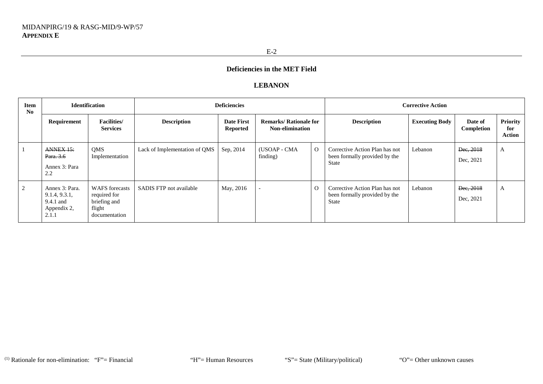#### **LEBANON**

| <b>Item</b><br>No | <b>Identification</b>                                                |                                                                                  |                               | <b>Deficiencies</b>                  |                                                         |          |                                                                                 | <b>Corrective Action</b> |                        |                                  |
|-------------------|----------------------------------------------------------------------|----------------------------------------------------------------------------------|-------------------------------|--------------------------------------|---------------------------------------------------------|----------|---------------------------------------------------------------------------------|--------------------------|------------------------|----------------------------------|
|                   | Requirement                                                          | <b>Facilities</b> /<br><b>Services</b>                                           | <b>Description</b>            | <b>Date First</b><br><b>Reported</b> | <b>Remarks/ Rationale for</b><br><b>Non-elimination</b> |          | <b>Description</b>                                                              | <b>Executing Body</b>    | Date of<br>Completion  | Priority<br>for<br><b>Action</b> |
|                   | ANNEX 15:<br>Para. 3.6<br>Annex 3: Para<br>2.2                       | QMS<br>Implementation                                                            | Lack of Implementation of QMS | Sep, 2014                            | (USOAP - CMA<br>finding)                                | $\Omega$ | Corrective Action Plan has not<br>been formally provided by the<br><b>State</b> | Lebanon                  | Dec, 2018<br>Dec, 2021 | A                                |
| 2                 | Annex 3: Para.<br>9.1.4, 9.3.1,<br>9.4.1 and<br>Appendix 2,<br>2.1.1 | <b>WAFS</b> forecasts<br>required for<br>briefing and<br>flight<br>documentation | SADIS FTP not available       | May, 2016                            |                                                         | $\Omega$ | Corrective Action Plan has not<br>been formally provided by the<br><b>State</b> | Lebanon                  | Dec, 2018<br>Dec, 2021 | A                                |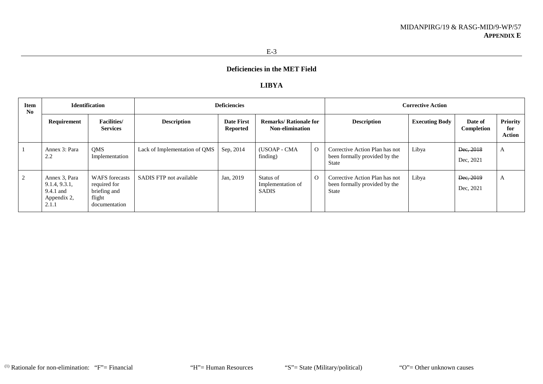#### **LIBYA**

| <b>Item</b><br>No |                                                                     | <b>Identification</b>                                                            | <b>Deficiencies</b>           |                                      |                                                  |              | <b>Corrective Action</b>                                                        |                       |                        |                                         |  |
|-------------------|---------------------------------------------------------------------|----------------------------------------------------------------------------------|-------------------------------|--------------------------------------|--------------------------------------------------|--------------|---------------------------------------------------------------------------------|-----------------------|------------------------|-----------------------------------------|--|
|                   | Requirement                                                         | <b>Facilities</b> /<br><b>Services</b>                                           | <b>Description</b>            | <b>Date First</b><br><b>Reported</b> | <b>Remarks/ Rationale for</b><br>Non-elimination |              | <b>Description</b>                                                              | <b>Executing Body</b> | Date of<br>Completion  | <b>Priority</b><br>for<br><b>Action</b> |  |
|                   | Annex 3: Para<br>2.2                                                | QMS<br>Implementation                                                            | Lack of Implementation of QMS | Sep, 2014                            | (USOAP - CMA<br>finding)                         | $\mathbf{O}$ | Corrective Action Plan has not<br>been formally provided by the<br>State        | Libya                 | Dec, 2018<br>Dec, 2021 | $\Delta$                                |  |
| $\overline{2}$    | Annex 3, Para<br>9.1.4, 9.3.1,<br>9.4.1 and<br>Appendix 2,<br>2.1.1 | <b>WAFS</b> forecasts<br>required for<br>briefing and<br>flight<br>documentation | SADIS FTP not available       | Jan, 2019                            | Status of<br>Implementation of<br><b>SADIS</b>   | $\Omega$     | Corrective Action Plan has not<br>been formally provided by the<br><b>State</b> | Libya                 | Dec, 2019<br>Dec, 2021 | $\Delta$                                |  |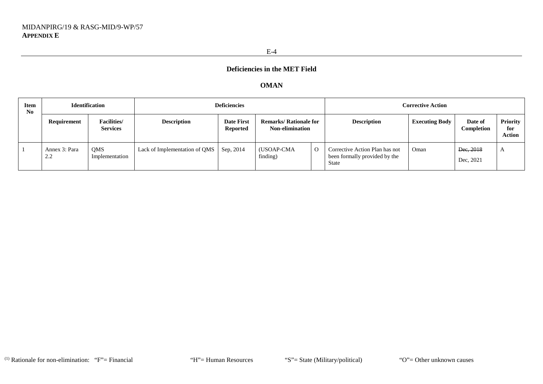#### **OMAN**

| <b>Item</b><br>N <sub>0</sub> |                      | <b>Identification</b>                  |                                           | <b>Deficiencies</b>                  |                                                         |          |                                                                          | <b>Corrective Action</b> |                        |                                         |
|-------------------------------|----------------------|----------------------------------------|-------------------------------------------|--------------------------------------|---------------------------------------------------------|----------|--------------------------------------------------------------------------|--------------------------|------------------------|-----------------------------------------|
|                               | Requirement          | <b>Facilities</b> /<br><b>Services</b> | <b>Description</b>                        | <b>Date First</b><br><b>Reported</b> | <b>Remarks/ Rationale for</b><br><b>Non-elimination</b> |          | <b>Description</b>                                                       | <b>Executing Body</b>    | Date of<br>Completion  | <b>Priority</b><br>for<br><b>Action</b> |
|                               | Annex 3: Para<br>2.2 | QMS<br>Implementation                  | Lack of Implementation of QMS   Sep, 2014 |                                      | (USOAP-CMA<br>finding)                                  | $\Omega$ | Corrective Action Plan has not<br>been formally provided by the<br>State | Oman                     | Dec, 2018<br>Dec, 2021 | $\Delta$                                |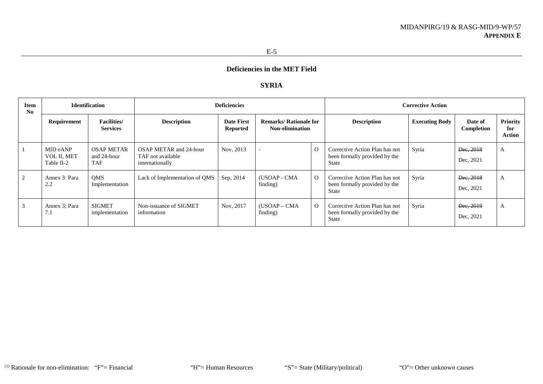### **SYRIA**

| <b>Item</b><br>N <sub>0</sub> |                                       | <b>Identification</b>                   |                                                                | <b>Deficiencies</b>                  |                                                  |          |                                                                          | <b>Corrective Action</b> |                        |                                  |
|-------------------------------|---------------------------------------|-----------------------------------------|----------------------------------------------------------------|--------------------------------------|--------------------------------------------------|----------|--------------------------------------------------------------------------|--------------------------|------------------------|----------------------------------|
|                               | Requirement                           | <b>Facilities</b> /<br><b>Services</b>  | <b>Description</b>                                             | <b>Date First</b><br><b>Reported</b> | <b>Remarks/ Rationale for</b><br>Non-elimination |          | <b>Description</b>                                                       | <b>Executing Body</b>    | Date of<br>Completion  | Priority<br>for<br><b>Action</b> |
|                               | MID eANP<br>VOL II, MET<br>Table II-2 | <b>OSAP METAR</b><br>and 24-hour<br>TAF | OSAP METAR and 24-hour<br>TAF not available<br>internationally | Nov. 2013                            |                                                  | $\Omega$ | Corrective Action Plan has not<br>been formally provided by the<br>State | Syria                    | Dec, 2018<br>Dec, 2021 | A                                |
| $\overline{c}$                | Annex 3: Para<br>2.2                  | <b>QMS</b><br>Implementation            | Lack of Implementation of QMS                                  | Sep, 2014                            | (USOAP - CMA<br>finding)                         | $\Omega$ | Corrective Action Plan has not<br>been formally provided by the<br>State | Syria                    | Dec, 2018<br>Dec, 2021 | A                                |
| 3                             | Annex 3; Para<br>$\sqrt{1.1}$         | <b>SIGMET</b><br>implementation         | Non-issuance of SIGMET<br>information                          | Nov, 2017                            | $(USOAP - CMA)$<br>finding)                      | $\Omega$ | Corrective Action Plan has not<br>been formally provided by the<br>State | Syria                    | Dec, 2019<br>Dec, 2021 | A                                |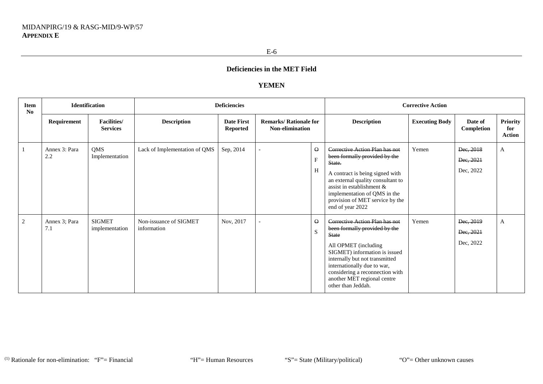#### **YEMEN**

| Item<br>N <sub>0</sub> | Identification       |                                        |                                       | <b>Deficiencies</b>                  |                                                  |                            |                                                                                                                                                                                                                                                                                                   | <b>Corrective Action</b> |                                     |                                         |
|------------------------|----------------------|----------------------------------------|---------------------------------------|--------------------------------------|--------------------------------------------------|----------------------------|---------------------------------------------------------------------------------------------------------------------------------------------------------------------------------------------------------------------------------------------------------------------------------------------------|--------------------------|-------------------------------------|-----------------------------------------|
|                        | Requirement          | <b>Facilities</b> /<br><b>Services</b> | <b>Description</b>                    | <b>Date First</b><br><b>Reported</b> | <b>Remarks/ Rationale for</b><br>Non-elimination |                            | <b>Description</b>                                                                                                                                                                                                                                                                                | <b>Executing Body</b>    | Date of<br>Completion               | <b>Priority</b><br>for<br><b>Action</b> |
|                        | Annex 3: Para<br>2.2 | QMS<br>Implementation                  | Lack of Implementation of QMS         | Sep, 2014                            | $\overline{\phantom{a}}$                         | $\Omega$<br>$F_{\rm}$<br>H | Corrective Action Plan has not<br>been formally provided by the<br>State.<br>A contract is being signed with<br>an external quality consultant to<br>assist in establishment $\&$<br>implementation of QMS in the<br>provision of MET service by the<br>end of year 2022                          | Yemen                    | Dec, 2018<br>Dec, 2021<br>Dec, 2022 | $\mathbf{A}$                            |
| 2                      | Annex 3; Para<br>7.1 | <b>SIGMET</b><br>implementation        | Non-issuance of SIGMET<br>information | Nov, 2017                            | $\overline{\phantom{a}}$                         | $\Theta$<br>S              | Corrective Action Plan has not<br>been formally provided by the<br><b>State</b><br>All OPMET (including<br>SIGMET) information is issued<br>internally but not transmitted<br>internationally due to war,<br>considering a reconnection with<br>another MET regional centre<br>other than Jeddah. | Yemen                    | Dec, 2019<br>Dec, 2021<br>Dec, 2022 | $\mathbf{A}$                            |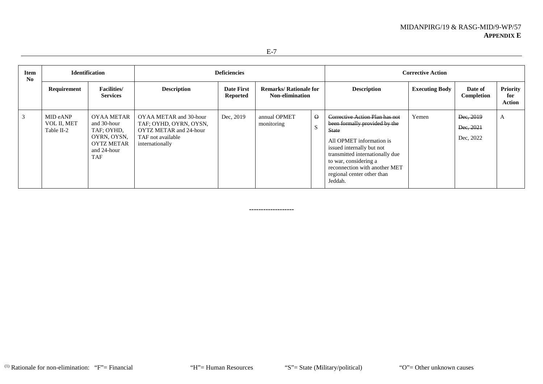|--|

| <b>Item</b><br>N <sub>0</sub> |                                       | <b>Identification</b>                                                                                    |                                                                                                                    | <b>Deficiencies</b>                  |                                                         |          |                                                                                                                                                                                                                                                                                | <b>Corrective Action</b> |                                     |                                  |
|-------------------------------|---------------------------------------|----------------------------------------------------------------------------------------------------------|--------------------------------------------------------------------------------------------------------------------|--------------------------------------|---------------------------------------------------------|----------|--------------------------------------------------------------------------------------------------------------------------------------------------------------------------------------------------------------------------------------------------------------------------------|--------------------------|-------------------------------------|----------------------------------|
|                               | Requirement                           | <b>Facilities</b> /<br><b>Services</b>                                                                   | <b>Description</b>                                                                                                 | <b>Date First</b><br><b>Reported</b> | <b>Remarks/ Rationale for</b><br><b>Non-elimination</b> |          | <b>Description</b>                                                                                                                                                                                                                                                             | <b>Executing Body</b>    | Date of<br>Completion               | Priority<br>for<br><b>Action</b> |
| 3 <sup>2</sup>                | MID eANP<br>VOL II, MET<br>Table II-2 | OYAA METAR<br>and 30-hour<br>TAF; OYHD,<br>OYRN, OYSN,<br><b>OYTZ METAR</b><br>and 24-hour<br><b>TAF</b> | OYAA METAR and 30-hour<br>TAF; OYHD, OYRN, OYSN,<br>OYTZ METAR and 24-hour<br>TAF not available<br>internationally | Dec, 2019                            | annual OPMET<br>monitoring                              | $\Theta$ | Corrective Action Plan has not<br>been formally provided by the<br><b>State</b><br>All OPMET information is<br>issued internally but not<br>transmitted internationally due<br>to war, considering a<br>reconnection with another MET<br>regional center other than<br>Jeddah. | Yemen                    | Dec, 2019<br>Dec, 2021<br>Dec, 2022 | A                                |

**-------------------**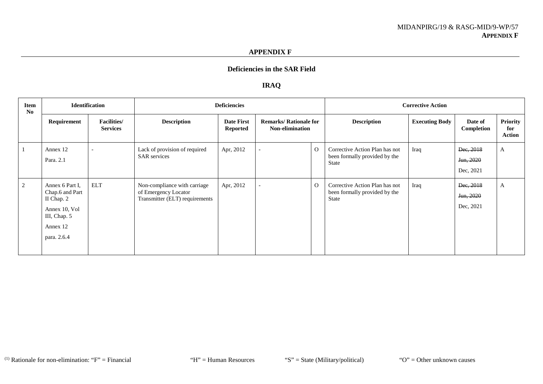#### **APPENDIX F**

# **Deficiencies in the SAR Field**

### **IRAQ**

| Item<br>N <sub>0</sub> |                                                                                                              | <b>Identification</b>                  |                                                                                        | <b>Deficiencies</b>                  |                                                         |              |                                                                          | <b>Corrective Action</b> |                                     |                                         |
|------------------------|--------------------------------------------------------------------------------------------------------------|----------------------------------------|----------------------------------------------------------------------------------------|--------------------------------------|---------------------------------------------------------|--------------|--------------------------------------------------------------------------|--------------------------|-------------------------------------|-----------------------------------------|
|                        | Requirement                                                                                                  | <b>Facilities</b> /<br><b>Services</b> | <b>Description</b>                                                                     | <b>Date First</b><br><b>Reported</b> | <b>Remarks/ Rationale for</b><br><b>Non-elimination</b> |              | <b>Description</b>                                                       | <b>Executing Body</b>    | Date of<br>Completion               | <b>Priority</b><br>for<br><b>Action</b> |
|                        | Annex 12<br>Para, 2.1                                                                                        |                                        | Lack of provision of required<br><b>SAR</b> services                                   | Apr, 2012                            |                                                         | $\mathbf{O}$ | Corrective Action Plan has not<br>been formally provided by the<br>State | Iraq                     | Dec, 2018<br>Jun, 2020<br>Dec, 2021 | A                                       |
| 2                      | Annex 6 Part I.<br>Chap.6 and Part<br>II Chap. 2<br>Annex 10, Vol<br>III, Chap. 5<br>Annex 12<br>para. 2.6.4 | <b>ELT</b>                             | Non-compliance with carriage<br>of Emergency Locator<br>Transmitter (ELT) requirements | Apr, 2012                            |                                                         | $\Omega$     | Corrective Action Plan has not<br>been formally provided by the<br>State | Iraq                     | Dec, 2018<br>Jun, 2020<br>Dec, 2021 | A                                       |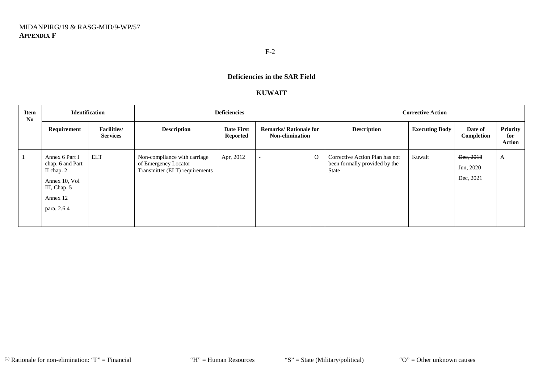#### **KUWAIT**

| Item<br>No |                                                                                                              | <b>Identification</b>                 |                                                                                        | <b>Deficiencies</b>                  |                                                         |              |                                                                          | <b>Corrective Action</b> |                                     |                                  |
|------------|--------------------------------------------------------------------------------------------------------------|---------------------------------------|----------------------------------------------------------------------------------------|--------------------------------------|---------------------------------------------------------|--------------|--------------------------------------------------------------------------|--------------------------|-------------------------------------|----------------------------------|
|            | Requirement                                                                                                  | <b>Facilities/</b><br><b>Services</b> | <b>Description</b>                                                                     | <b>Date First</b><br><b>Reported</b> | <b>Remarks/ Rationale for</b><br><b>Non-elimination</b> |              | <b>Description</b>                                                       | <b>Executing Body</b>    | Date of<br>Completion               | Priority<br>for<br><b>Action</b> |
|            | Annex 6 Part I<br>chap. 6 and Part<br>II chap. 2<br>Annex 10, Vol<br>III, Chap. 5<br>Annex 12<br>para. 2.6.4 | <b>ELT</b>                            | Non-compliance with carriage<br>of Emergency Locator<br>Transmitter (ELT) requirements | Apr, 2012                            | $\overline{\phantom{a}}$                                | $\mathbf{O}$ | Corrective Action Plan has not<br>been formally provided by the<br>State | Kuwait                   | Dec, 2018<br>Jun, 2020<br>Dec, 2021 | A                                |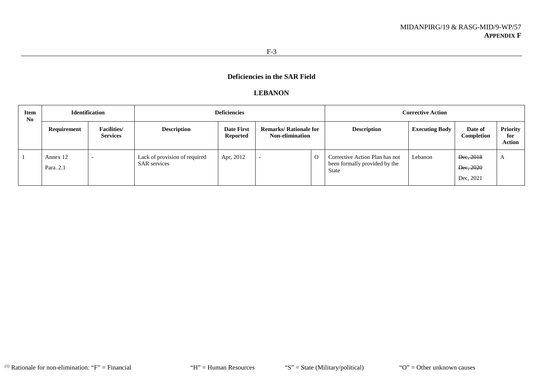### **LEBANON**

| <b>Item</b><br>N <sub>0</sub> |                       | <b>Identification</b>                  |                                                      | <b>Deficiencies</b>                  |                                                         |                                                                                 | <b>Corrective Action</b> |                                     |                                         |
|-------------------------------|-----------------------|----------------------------------------|------------------------------------------------------|--------------------------------------|---------------------------------------------------------|---------------------------------------------------------------------------------|--------------------------|-------------------------------------|-----------------------------------------|
|                               | Requirement           | <b>Facilities</b> /<br><b>Services</b> | <b>Description</b>                                   | <b>Date First</b><br><b>Reported</b> | <b>Remarks/ Rationale for</b><br><b>Non-elimination</b> | <b>Description</b>                                                              | <b>Executing Body</b>    | Date of<br>Completion               | <b>Priority</b><br>for<br><b>Action</b> |
|                               | Annex 12<br>Para. 2.1 | $\overline{\phantom{0}}$               | Lack of provision of required<br><b>SAR</b> services | Apr, 2012                            |                                                         | Corrective Action Plan has not<br>been formally provided by the<br><b>State</b> | Lebanon                  | Dec, 2018<br>Dec, 2020<br>Dec, 2021 | $\mathbf{A}$                            |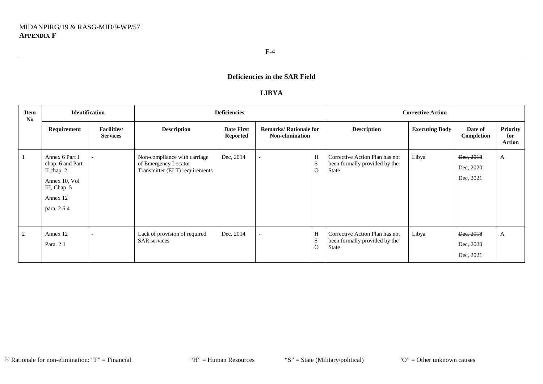#### **LIBYA**

| Item<br>No   |                                                                                                              | <b>Identification</b>                 |                                                                                        | <b>Deficiencies</b>                  |                                                         |                    |                                                                          | <b>Corrective Action</b> |                                     |                                         |
|--------------|--------------------------------------------------------------------------------------------------------------|---------------------------------------|----------------------------------------------------------------------------------------|--------------------------------------|---------------------------------------------------------|--------------------|--------------------------------------------------------------------------|--------------------------|-------------------------------------|-----------------------------------------|
|              | Requirement                                                                                                  | <b>Facilities/</b><br><b>Services</b> | <b>Description</b>                                                                     | <b>Date First</b><br><b>Reported</b> | <b>Remarks/ Rationale for</b><br><b>Non-elimination</b> |                    | <b>Description</b>                                                       | <b>Executing Body</b>    | Date of<br>Completion               | <b>Priority</b><br>for<br><b>Action</b> |
| $\mathbf{1}$ | Annex 6 Part I<br>chap. 6 and Part<br>II chap. 2<br>Annex 10, Vol<br>III, Chap. 5<br>Annex 12<br>para. 2.6.4 |                                       | Non-compliance with carriage<br>of Emergency Locator<br>Transmitter (ELT) requirements | Dec, 2014                            | $\overline{\phantom{a}}$                                | H<br>S<br>$\Omega$ | Corrective Action Plan has not<br>been formally provided by the<br>State | Libya                    | Dec, 2018<br>Dec, 2020<br>Dec, 2021 | A                                       |
| 2            | Annex 12<br>Para, 2.1                                                                                        |                                       | Lack of provision of required<br><b>SAR</b> services                                   | Dec, 2014                            |                                                         | H<br>S<br>$\Omega$ | Corrective Action Plan has not<br>been formally provided by the<br>State | Libya                    | Dec, 2018<br>Dec, 2020<br>Dec, 2021 | A                                       |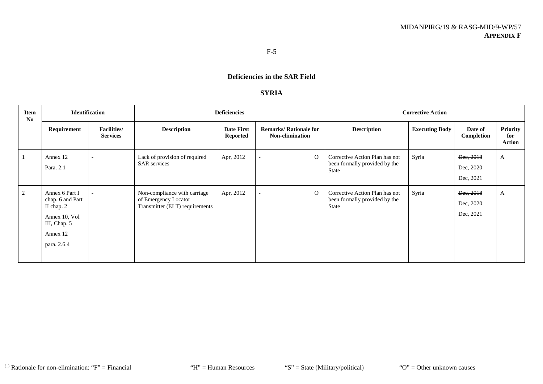# **SYRIA**

| Item<br>No     |                                                                                                              | <b>Identification</b>                 |                                                                                        | <b>Deficiencies</b>                  |                                                         |              |                                                                          | <b>Corrective Action</b> |                                     |                                         |
|----------------|--------------------------------------------------------------------------------------------------------------|---------------------------------------|----------------------------------------------------------------------------------------|--------------------------------------|---------------------------------------------------------|--------------|--------------------------------------------------------------------------|--------------------------|-------------------------------------|-----------------------------------------|
|                | Requirement                                                                                                  | <b>Facilities/</b><br><b>Services</b> | <b>Description</b>                                                                     | <b>Date First</b><br><b>Reported</b> | <b>Remarks/ Rationale for</b><br><b>Non-elimination</b> |              | <b>Description</b>                                                       | <b>Executing Body</b>    | Date of<br>Completion               | <b>Priority</b><br>for<br><b>Action</b> |
| $\mathbf{1}$   | Annex 12<br>Para. 2.1                                                                                        | $\overline{\phantom{0}}$              | Lack of provision of required<br><b>SAR</b> services                                   | Apr, 2012                            | $\overline{\phantom{a}}$                                | $\mathbf{O}$ | Corrective Action Plan has not<br>been formally provided by the<br>State | Syria                    | Dec, 2018<br>Dec, 2020<br>Dec, 2021 | A                                       |
| $\overline{2}$ | Annex 6 Part I<br>chap. 6 and Part<br>II chap. 2<br>Annex 10, Vol<br>III, Chap. 5<br>Annex 12<br>para. 2.6.4 |                                       | Non-compliance with carriage<br>of Emergency Locator<br>Transmitter (ELT) requirements | Apr, 2012                            | $\overline{\phantom{a}}$                                | $\mathbf{O}$ | Corrective Action Plan has not<br>been formally provided by the<br>State | Syria                    | Dec, 2018<br>Dec, 2020<br>Dec, 2021 | A                                       |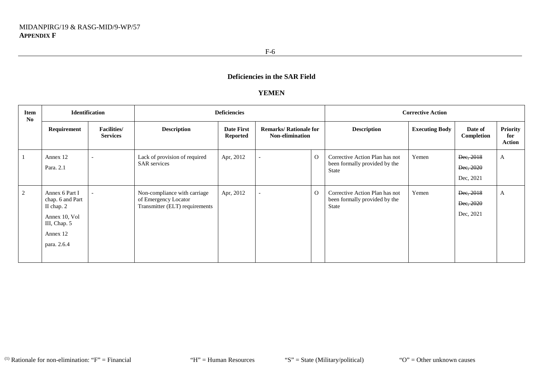#### **YEMEN**

| Item<br>No     |                                                                                                              | <b>Identification</b>                 |                                                                                        | <b>Deficiencies</b>                  |                                                         |          |                                                                          | <b>Corrective Action</b> |                                     |                                  |
|----------------|--------------------------------------------------------------------------------------------------------------|---------------------------------------|----------------------------------------------------------------------------------------|--------------------------------------|---------------------------------------------------------|----------|--------------------------------------------------------------------------|--------------------------|-------------------------------------|----------------------------------|
|                | Requirement                                                                                                  | <b>Facilities/</b><br><b>Services</b> | <b>Description</b>                                                                     | <b>Date First</b><br><b>Reported</b> | <b>Remarks/ Rationale for</b><br><b>Non-elimination</b> |          | <b>Description</b>                                                       | <b>Executing Body</b>    | Date of<br>Completion               | Priority<br>for<br><b>Action</b> |
| $\mathbf{1}$   | Annex 12<br>Para. 2.1                                                                                        | $\overline{\phantom{a}}$              | Lack of provision of required<br><b>SAR</b> services                                   | Apr, 2012                            |                                                         | $\Omega$ | Corrective Action Plan has not<br>been formally provided by the<br>State | Yemen                    | Dec, 2018<br>Dec, 2020<br>Dec, 2021 | A                                |
| $\overline{2}$ | Annex 6 Part I<br>chap. 6 and Part<br>II chap. 2<br>Annex 10, Vol<br>III, Chap. 5<br>Annex 12<br>para. 2.6.4 |                                       | Non-compliance with carriage<br>of Emergency Locator<br>Transmitter (ELT) requirements | Apr, 2012                            |                                                         | $\Omega$ | Corrective Action Plan has not<br>been formally provided by the<br>State | Yemen                    | Dec, 2018<br>Dec, 2020<br>Dec, 2021 | A                                |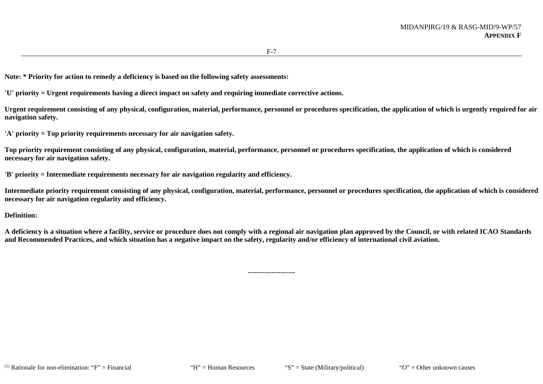**Note: \* Priority for action to remedy a deficiency is based on the following safety assessments:**

**'U' priority = Urgent requirements having a direct impact on safety and requiring immediate corrective actions.**

**Urgent requirement consisting of any physical, configuration, material, performance, personnel or procedures specification, the application of which is urgently required for air navigation safety.**

**'A' priority = Top priority requirements necessary for air navigation safety.**

**Top priority requirement consisting of any physical, configuration, material, performance, personnel or procedures specification, the application of which is considered necessary for air navigation safety.**

**'B' priority = Intermediate requirements necessary for air navigation regularity and efficiency.**

**Intermediate priority requirement consisting of any physical, configuration, material, performance, personnel or procedures specification, the application of which is considered necessary for air navigation regularity and efficiency.**

#### **Definition:**

**A deficiency is a situation where a facility, service or procedure does not comply with a regional air navigation plan approved by the Council, or with related ICAO Standards and Recommended Practices, and which situation has a negative impact on the safety, regularity and/or efficiency of international civil aviation.**

**--------------------**

(1) Rationale for non-elimination: "F" = Financial "H" = Human Resources "S" = State (Military/political) "O" = Other unknown causes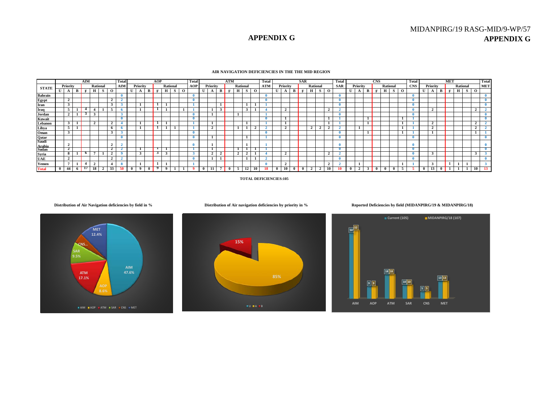# MIDANPIRG/19 RASG-MID/9-WP/57 **APPENDIX G**

# **APPENDIX G**

#### **AIR NAVIGATION DEFICIENCIES IN THE THE MID REGION**

|                |              | AIM<br>Priority<br>Rational<br>н<br>F<br>$\overline{a}$ |  |  |    | Total |                    | AOP |          |              | <b>Total</b> |              | <b>ATM</b> |          |  |          | Total |              |            | SAR      |   |  |   | Total           |             |     |   | <b>CNS</b> |   |              |   | Total    |              |            |   | <b>MET</b> |   |              |          | <b>Total</b> |                         |     |
|----------------|--------------|---------------------------------------------------------|--|--|----|-------|--------------------|-----|----------|--------------|--------------|--------------|------------|----------|--|----------|-------|--------------|------------|----------|---|--|---|-----------------|-------------|-----|---|------------|---|--------------|---|----------|--------------|------------|---|------------|---|--------------|----------|--------------|-------------------------|-----|
| <b>STATE</b>   |              |                                                         |  |  |    |       |                    | AIM | Priority |              | Rational     |              | AOP        | Priority |  | Rational |       |              | <b>ATM</b> | Priority |   |  |   | <b>Rational</b> |             | SAR |   | Priority   |   |              |   | Rational |              | <b>CNS</b> |   | Priority   |   |              | Rational |              |                         | MET |
|                | $\mathbf{U}$ |                                                         |  |  |    |       | $\mathbf{o}$       |     |          |              | н            | $\mathbf{o}$ |            | A        |  | Н        | s     | $\mathbf{o}$ |            |          | B |  | H |                 | $\mathbf o$ |     | U |            | B | $\mathbf{F}$ | н | s        | $\mathbf{O}$ |            | U |            | B | $\mathbf{F}$ | н        | S.           | $\mathbf{o}$            |     |
| <b>Bahrain</b> |              |                                                         |  |  |    |       |                    |     |          |              |              |              |            |          |  |          |       |              |            |          |   |  |   |                 |             |     |   |            |   |              |   |          |              |            |   |            |   |              |          |              |                         |     |
| Egypt          |              |                                                         |  |  |    |       | 2                  |     |          |              |              |              |            |          |  |          |       |              |            |          |   |  |   |                 |             |     |   |            |   |              |   |          |              |            |   |            |   |              |          |              |                         |     |
| Iran           |              |                                                         |  |  |    |       |                    |     |          |              |              |              |            |          |  |          |       |              |            |          |   |  |   |                 |             |     |   |            |   |              |   |          |              |            |   |            |   |              |          |              |                         |     |
| Iraq           |              |                                                         |  |  |    |       |                    |     |          |              |              |              |            |          |  |          |       |              |            |          |   |  |   |                 |             |     |   |            |   |              |   |          |              |            |   |            |   |              |          |              |                         |     |
| Jordan         |              |                                                         |  |  |    |       |                    |     |          |              |              |              |            |          |  |          |       |              |            |          |   |  |   |                 |             |     |   |            |   |              |   |          |              |            |   |            |   |              |          |              |                         |     |
| Kuwait         |              |                                                         |  |  |    |       |                    |     |          |              |              |              |            |          |  |          |       |              |            |          |   |  |   |                 |             |     |   |            |   |              |   |          |              |            |   |            |   |              |          |              |                         |     |
| Lebanon        |              |                                                         |  |  |    |       | ∸                  |     |          |              |              |              |            |          |  |          |       |              |            |          |   |  |   |                 |             |     |   |            |   |              |   |          |              |            |   |            |   |              |          |              | $\overline{\mathbf{2}}$ |     |
| Libya          |              |                                                         |  |  |    |       | -6                 |     |          |              |              |              |            |          |  |          |       |              |            |          |   |  |   |                 |             |     |   |            |   |              |   |          |              |            |   |            |   |              |          |              | $\overline{2}$          |     |
| Oman           |              | 3                                                       |  |  |    |       | -3                 |     |          |              |              |              |            |          |  |          |       |              |            |          |   |  |   |                 |             |     |   |            |   |              |   |          |              |            |   |            |   |              |          |              |                         |     |
| Qatar<br>Saudi |              |                                                         |  |  |    |       |                    |     |          |              |              |              |            |          |  |          |       |              |            |          |   |  |   |                 |             |     |   |            |   |              |   |          |              |            |   |            |   |              |          |              |                         |     |
|                |              |                                                         |  |  |    |       |                    |     |          |              |              |              |            |          |  |          |       |              |            |          |   |  |   |                 |             |     |   |            |   |              |   |          |              |            |   |            |   |              |          |              |                         |     |
| <b>Arabia</b>  |              |                                                         |  |  |    |       | $\overline{2}$     |     |          |              |              |              |            |          |  |          |       |              |            |          |   |  |   |                 |             |     |   |            |   |              |   |          |              |            |   |            |   |              |          |              |                         |     |
| Sudan          |              |                                                         |  |  |    |       | ÷                  |     |          |              |              |              |            |          |  |          |       |              |            |          |   |  |   |                 |             |     |   |            |   |              |   |          |              |            |   |            |   |              |          |              |                         |     |
| Syria          |              | x                                                       |  |  |    |       | ∸                  |     |          | $\mathbf{v}$ | -3           |              |            | 2        |  |          |       |              |            |          |   |  |   |                 |             |     |   |            |   |              |   |          |              |            |   |            |   |              |          |              | 3                       |     |
| <b>UAE</b>     |              |                                                         |  |  |    |       | $\rightarrow$<br>÷ |     |          |              |              |              |            |          |  |          |       |              |            |          |   |  |   |                 |             |     |   |            |   |              |   |          |              |            |   |            |   |              |          |              |                         |     |
| Yemen          |              | $\mathbf{r}$                                            |  |  |    |       | $\overline{4}$     |     |          |              |              |              |            |          |  |          |       |              |            |          |   |  |   |                 |             |     |   |            |   |              |   |          |              |            |   |            |   |              |          |              |                         |     |
| <b>Total</b>   |              | 44                                                      |  |  | 18 |       | 33                 | -50 |          |              |              |              |            | 11       |  |          |       | 10           |            |          |   |  |   |                 |             |     |   |            |   |              |   |          |              |            |   |            |   |              |          |              |                         | 13  |



**Distribution of Air navigation deficiencies by priority in %**

**Distribution of Air Navigation deficiencies by field in % Distribution of Air navigation deficiencies by priority in % Reported Deficiencies by field (MIDANPIRG/19 & MIDANPIRG/18)** 

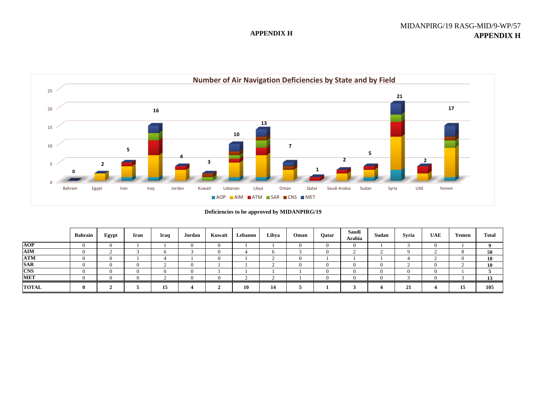**APPENDIX H**



**Deficiencies to be approved by MIDANPIRG/19**

|              | Bahrain | Egypt       | Iran | Iraq | Jordan | Kuwait | Lebanon | Libya | Oman         | Oatar | Saudi<br>Arabia | Sudan | Syria | <b>UAE</b> | Yemen | Total   |
|--------------|---------|-------------|------|------|--------|--------|---------|-------|--------------|-------|-----------------|-------|-------|------------|-------|---------|
| <b>AOP</b>   |         | $\Omega$    |      |      |        |        |         |       | $\left($     |       | -0              |       |       | $\Omega$   |       |         |
| <b>AIM</b>   |         |             |      |      |        |        |         |       |              |       |                 |       |       |            |       | 50      |
| <b>ATM</b>   |         | $\Omega$    |      |      |        |        |         |       | $\Omega$     |       |                 |       |       |            |       | 18      |
| <b>SAR</b>   |         | $\Omega$    |      |      |        |        |         |       | $\mathbf{0}$ |       |                 |       |       | $\theta$   |       | 10      |
| <b>CNS</b>   |         | $\Omega$    |      |      |        |        |         |       |              |       |                 |       |       | $\Omega$   |       |         |
| <b>MET</b>   |         | $^{\prime}$ |      |      |        |        |         |       |              |       |                 |       |       | $\Omega$   |       | 12<br>w |
| <b>TOTAL</b> |         |             |      | 15   |        |        | 10      |       |              |       |                 |       | 21    |            | 15    | 105     |